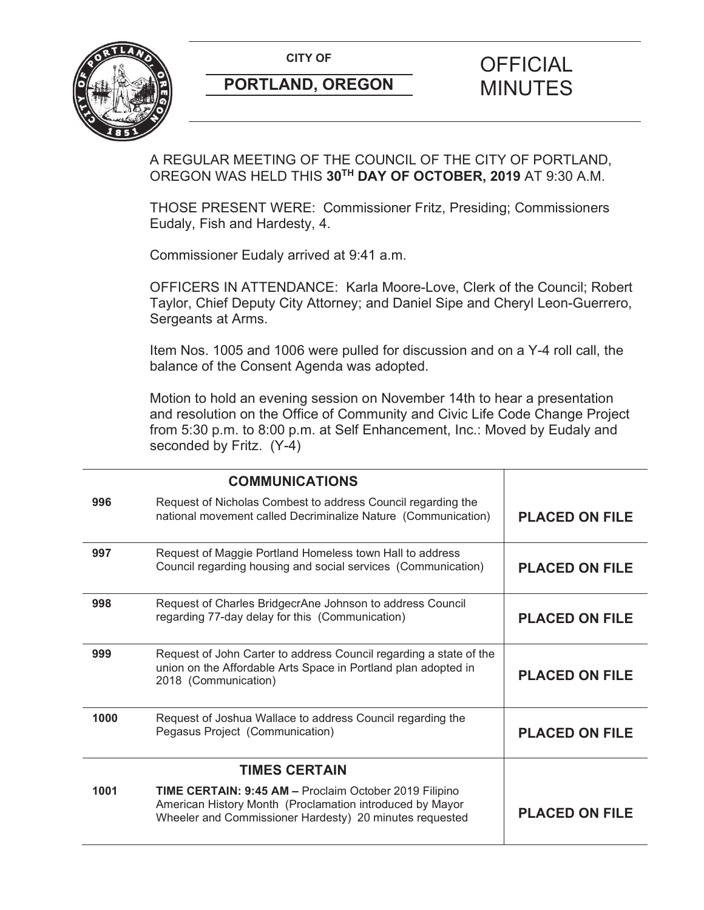**CITY OF CITY OF FICIAL** 



# **PORTLAND, OREGON** MINUTES

## A REGULAR MEETING OF THE COUNCIL OF THE CITY OF PORTLAND, OREGON WAS HELD THIS **30TH DAY OF OCTOBER, 2019** AT 9:30 A.M.

THOSE PRESENT WERE: Commissioner Fritz, Presiding; Commissioners Eudaly, Fish and Hardesty, 4.

Commissioner Eudaly arrived at 9:41 a.m.

OFFICERS IN ATTENDANCE: Karla Moore-Love, Clerk of the Council; Robert Taylor, Chief Deputy City Attorney; and Daniel Sipe and Cheryl Leon-Guerrero, Sergeants at Arms.

Item Nos. 1005 and 1006 were pulled for discussion and on a Y-4 roll call, the balance of the Consent Agenda was adopted.

Motion to hold an evening session on November 14th to hear a presentation and resolution on the Office of Community and Civic Life Code Change Project from 5:30 p.m. to 8:00 p.m. at Self Enhancement, Inc.: Moved by Eudaly and seconded by Fritz. (Y-4)

|                      | <b>COMMUNICATIONS</b>                                                                                                                                                         |                       |
|----------------------|-------------------------------------------------------------------------------------------------------------------------------------------------------------------------------|-----------------------|
| 996                  | Request of Nicholas Combest to address Council regarding the<br>national movement called Decriminalize Nature (Communication)                                                 | <b>PLACED ON FILE</b> |
| 997                  | Request of Maggie Portland Homeless town Hall to address<br>Council regarding housing and social services (Communication)                                                     | <b>PLACED ON FILE</b> |
| 998                  | Request of Charles BridgecrAne Johnson to address Council<br>regarding 77-day delay for this (Communication)                                                                  | <b>PLACED ON FILE</b> |
| 999                  | Request of John Carter to address Council regarding a state of the<br>union on the Affordable Arts Space in Portland plan adopted in<br>2018 (Communication)                  | <b>PLACED ON FILE</b> |
| 1000                 | Request of Joshua Wallace to address Council regarding the<br>Pegasus Project (Communication)                                                                                 | <b>PLACED ON FILE</b> |
| <b>TIMES CERTAIN</b> |                                                                                                                                                                               |                       |
| 1001                 | TIME CERTAIN: 9:45 AM - Proclaim October 2019 Filipino<br>American History Month (Proclamation introduced by Mayor<br>Wheeler and Commissioner Hardesty) 20 minutes requested | <b>PLACED ON FILE</b> |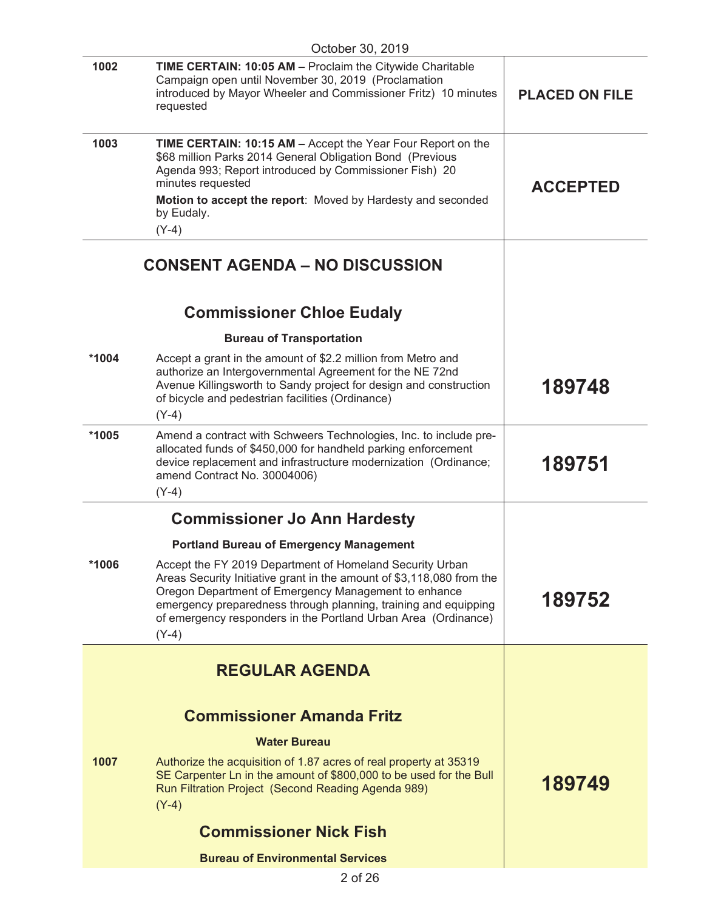|                                     | October 30, 2019                                                                                                                                                                                                                                                                                                                          |                       |
|-------------------------------------|-------------------------------------------------------------------------------------------------------------------------------------------------------------------------------------------------------------------------------------------------------------------------------------------------------------------------------------------|-----------------------|
| 1002                                | <b>TIME CERTAIN: 10:05 AM - Proclaim the Citywide Charitable</b><br>Campaign open until November 30, 2019 (Proclamation<br>introduced by Mayor Wheeler and Commissioner Fritz) 10 minutes<br>requested                                                                                                                                    | <b>PLACED ON FILE</b> |
| 1003                                | <b>TIME CERTAIN: 10:15 AM - Accept the Year Four Report on the</b><br>\$68 million Parks 2014 General Obligation Bond (Previous<br>Agenda 993; Report introduced by Commissioner Fish) 20<br>minutes requested<br>Motion to accept the report: Moved by Hardesty and seconded<br>by Eudaly.                                               | <b>ACCEPTED</b>       |
|                                     | $(Y-4)$                                                                                                                                                                                                                                                                                                                                   |                       |
|                                     | <b>CONSENT AGENDA – NO DISCUSSION</b>                                                                                                                                                                                                                                                                                                     |                       |
|                                     | <b>Commissioner Chloe Eudaly</b>                                                                                                                                                                                                                                                                                                          |                       |
|                                     | <b>Bureau of Transportation</b>                                                                                                                                                                                                                                                                                                           |                       |
| *1004                               | Accept a grant in the amount of \$2.2 million from Metro and<br>authorize an Intergovernmental Agreement for the NE 72nd<br>Avenue Killingsworth to Sandy project for design and construction<br>of bicycle and pedestrian facilities (Ordinance)<br>$(Y-4)$                                                                              | 189748                |
| *1005                               | Amend a contract with Schweers Technologies, Inc. to include pre-<br>allocated funds of \$450,000 for handheld parking enforcement<br>device replacement and infrastructure modernization (Ordinance;<br>amend Contract No. 30004006)<br>$(Y-4)$                                                                                          | 189751                |
| <b>Commissioner Jo Ann Hardesty</b> |                                                                                                                                                                                                                                                                                                                                           |                       |
|                                     | <b>Portland Bureau of Emergency Management</b>                                                                                                                                                                                                                                                                                            |                       |
| *1006                               | Accept the FY 2019 Department of Homeland Security Urban<br>Areas Security Initiative grant in the amount of \$3,118,080 from the<br>Oregon Department of Emergency Management to enhance<br>emergency preparedness through planning, training and equipping<br>of emergency responders in the Portland Urban Area (Ordinance)<br>$(Y-4)$ | 189752                |
|                                     | <b>REGULAR AGENDA</b>                                                                                                                                                                                                                                                                                                                     |                       |
|                                     |                                                                                                                                                                                                                                                                                                                                           |                       |
|                                     | <b>Commissioner Amanda Fritz</b>                                                                                                                                                                                                                                                                                                          |                       |
|                                     |                                                                                                                                                                                                                                                                                                                                           |                       |
|                                     | <b>Water Bureau</b>                                                                                                                                                                                                                                                                                                                       |                       |
| 1007                                | Authorize the acquisition of 1.87 acres of real property at 35319<br>SE Carpenter Ln in the amount of \$800,000 to be used for the Bull<br>Run Filtration Project (Second Reading Agenda 989)<br>$(Y-4)$                                                                                                                                  | 189749                |
|                                     | <b>Commissioner Nick Fish</b>                                                                                                                                                                                                                                                                                                             |                       |
|                                     | <b>Bureau of Environmental Services</b>                                                                                                                                                                                                                                                                                                   |                       |
|                                     | 500                                                                                                                                                                                                                                                                                                                                       |                       |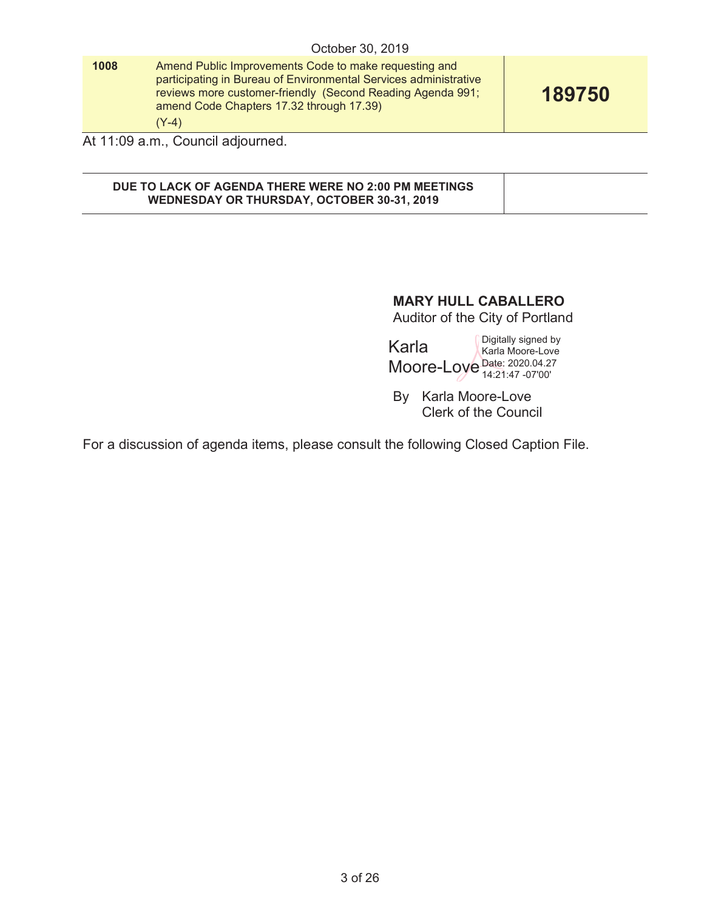|      | October 30, 2019                                                                                                                                                                                                                               |        |
|------|------------------------------------------------------------------------------------------------------------------------------------------------------------------------------------------------------------------------------------------------|--------|
| 1008 | Amend Public Improvements Code to make requesting and<br>participating in Bureau of Environmental Services administrative<br>reviews more customer-friendly (Second Reading Agenda 991;<br>amend Code Chapters 17.32 through 17.39)<br>$(Y-4)$ | 189750 |
|      | At 11:09 a.m., Council adjourned.                                                                                                                                                                                                              |        |

#### **DUE TO LACK OF AGENDA THERE WERE NO 2:00 PM MEETINGS WEDNESDAY OR THURSDAY, OCTOBER 30-31, 2019**

## **MARY HULL CABALLERO**

Auditor of the City of Portland

Karla Moore-Love Date: 2020.04.27 Digitally signed by Karla Moore-Love 14:21:47 -07'00'

By Karla Moore-Love Clerk of the Council

For a discussion of agenda items, please consult the following Closed Caption File.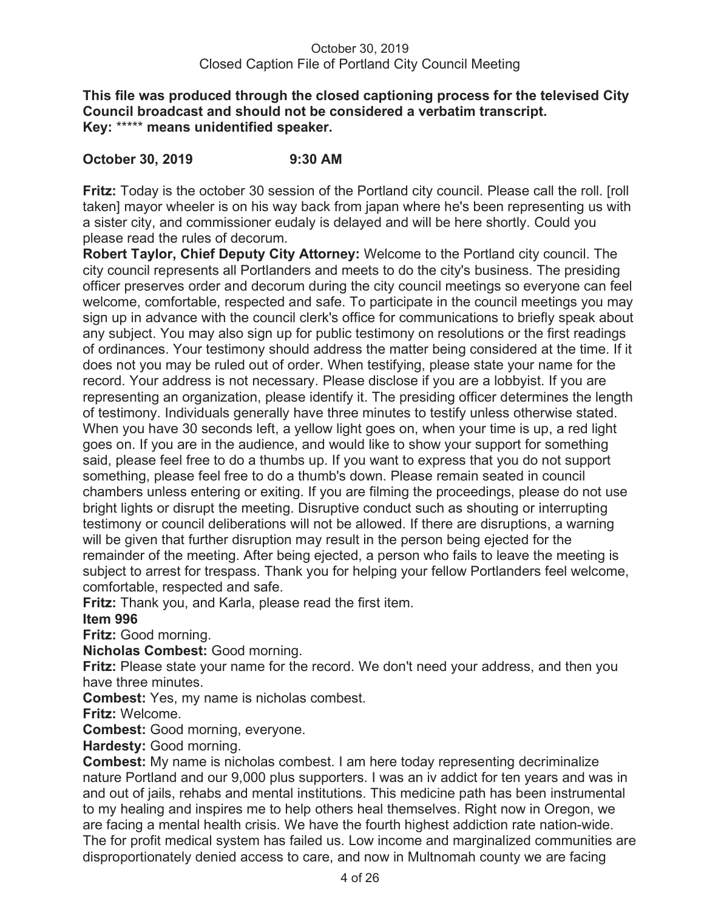#### **This file was produced through the closed captioning process for the televised City Council broadcast and should not be considered a verbatim transcript. Key:** \*\*\*\*\* **means unidentified speaker.**

## **October 30, 2019 9:30 AM**

**Fritz:** Today is the october 30 session of the Portland city council. Please call the roll. [roll taken] mayor wheeler is on his way back from japan where he's been representing us with a sister city, and commissioner eudaly is delayed and will be here shortly. Could you please read the rules of decorum.

**Robert Taylor, Chief Deputy City Attorney:** Welcome to the Portland city council. The city council represents all Portlanders and meets to do the city's business. The presiding officer preserves order and decorum during the city council meetings so everyone can feel welcome, comfortable, respected and safe. To participate in the council meetings you may sign up in advance with the council clerk's office for communications to briefly speak about any subject. You may also sign up for public testimony on resolutions or the first readings of ordinances. Your testimony should address the matter being considered at the time. If it does not you may be ruled out of order. When testifying, please state your name for the record. Your address is not necessary. Please disclose if you are a lobbyist. If you are representing an organization, please identify it. The presiding officer determines the length of testimony. Individuals generally have three minutes to testify unless otherwise stated. When you have 30 seconds left, a yellow light goes on, when your time is up, a red light goes on. If you are in the audience, and would like to show your support for something said, please feel free to do a thumbs up. If you want to express that you do not support something, please feel free to do a thumb's down. Please remain seated in council chambers unless entering or exiting. If you are filming the proceedings, please do not use bright lights or disrupt the meeting. Disruptive conduct such as shouting or interrupting testimony or council deliberations will not be allowed. If there are disruptions, a warning will be given that further disruption may result in the person being ejected for the remainder of the meeting. After being ejected, a person who fails to leave the meeting is subject to arrest for trespass. Thank you for helping your fellow Portlanders feel welcome, comfortable, respected and safe.

**Fritz:** Thank you, and Karla, please read the first item.

## **Item 996**

**Fritz:** Good morning.

**Nicholas Combest:** Good morning.

**Fritz:** Please state your name for the record. We don't need your address, and then you have three minutes.

**Combest:** Yes, my name is nicholas combest.

**Fritz:** Welcome.

**Combest:** Good morning, everyone.

**Hardesty:** Good morning.

**Combest:** My name is nicholas combest. I am here today representing decriminalize nature Portland and our 9,000 plus supporters. I was an iv addict for ten years and was in and out of jails, rehabs and mental institutions. This medicine path has been instrumental to my healing and inspires me to help others heal themselves. Right now in Oregon, we are facing a mental health crisis. We have the fourth highest addiction rate nation-wide. The for profit medical system has failed us. Low income and marginalized communities are disproportionately denied access to care, and now in Multnomah county we are facing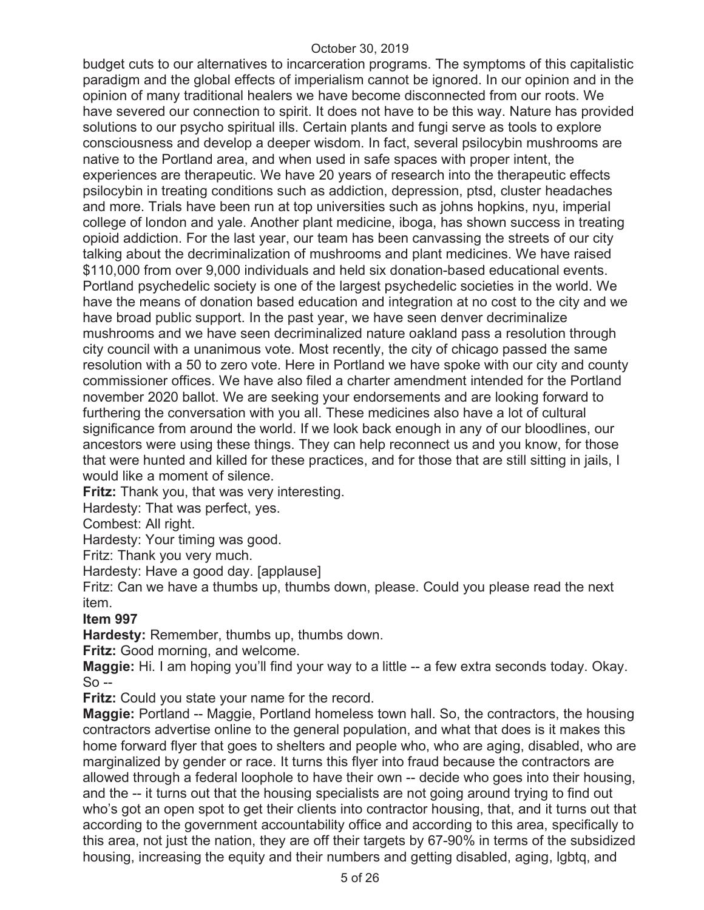budget cuts to our alternatives to incarceration programs. The symptoms of this capitalistic paradigm and the global effects of imperialism cannot be ignored. In our opinion and in the opinion of many traditional healers we have become disconnected from our roots. We have severed our connection to spirit. It does not have to be this way. Nature has provided solutions to our psycho spiritual ills. Certain plants and fungi serve as tools to explore consciousness and develop a deeper wisdom. In fact, several psilocybin mushrooms are native to the Portland area, and when used in safe spaces with proper intent, the experiences are therapeutic. We have 20 years of research into the therapeutic effects psilocybin in treating conditions such as addiction, depression, ptsd, cluster headaches and more. Trials have been run at top universities such as johns hopkins, nyu, imperial college of london and yale. Another plant medicine, iboga, has shown success in treating opioid addiction. For the last year, our team has been canvassing the streets of our city talking about the decriminalization of mushrooms and plant medicines. We have raised \$110,000 from over 9,000 individuals and held six donation-based educational events. Portland psychedelic society is one of the largest psychedelic societies in the world. We have the means of donation based education and integration at no cost to the city and we have broad public support. In the past year, we have seen denver decriminalize mushrooms and we have seen decriminalized nature oakland pass a resolution through city council with a unanimous vote. Most recently, the city of chicago passed the same resolution with a 50 to zero vote. Here in Portland we have spoke with our city and county commissioner offices. We have also filed a charter amendment intended for the Portland november 2020 ballot. We are seeking your endorsements and are looking forward to furthering the conversation with you all. These medicines also have a lot of cultural significance from around the world. If we look back enough in any of our bloodlines, our ancestors were using these things. They can help reconnect us and you know, for those that were hunted and killed for these practices, and for those that are still sitting in jails, I would like a moment of silence.

**Fritz:** Thank you, that was very interesting.

Hardesty: That was perfect, yes.

Combest: All right.

Hardesty: Your timing was good.

Fritz: Thank you very much.

Hardesty: Have a good day. [applause]

Fritz: Can we have a thumbs up, thumbs down, please. Could you please read the next item.

## **Item 997**

**Hardesty:** Remember, thumbs up, thumbs down.

**Fritz:** Good morning, and welcome.

**Maggie:** Hi. I am hoping you'll find your way to a little -- a few extra seconds today. Okay. So --

**Fritz:** Could you state your name for the record.

**Maggie:** Portland -- Maggie, Portland homeless town hall. So, the contractors, the housing contractors advertise online to the general population, and what that does is it makes this home forward flyer that goes to shelters and people who, who are aging, disabled, who are marginalized by gender or race. It turns this flyer into fraud because the contractors are allowed through a federal loophole to have their own -- decide who goes into their housing, and the -- it turns out that the housing specialists are not going around trying to find out who's got an open spot to get their clients into contractor housing, that, and it turns out that according to the government accountability office and according to this area, specifically to this area, not just the nation, they are off their targets by 67-90% in terms of the subsidized housing, increasing the equity and their numbers and getting disabled, aging, lgbtq, and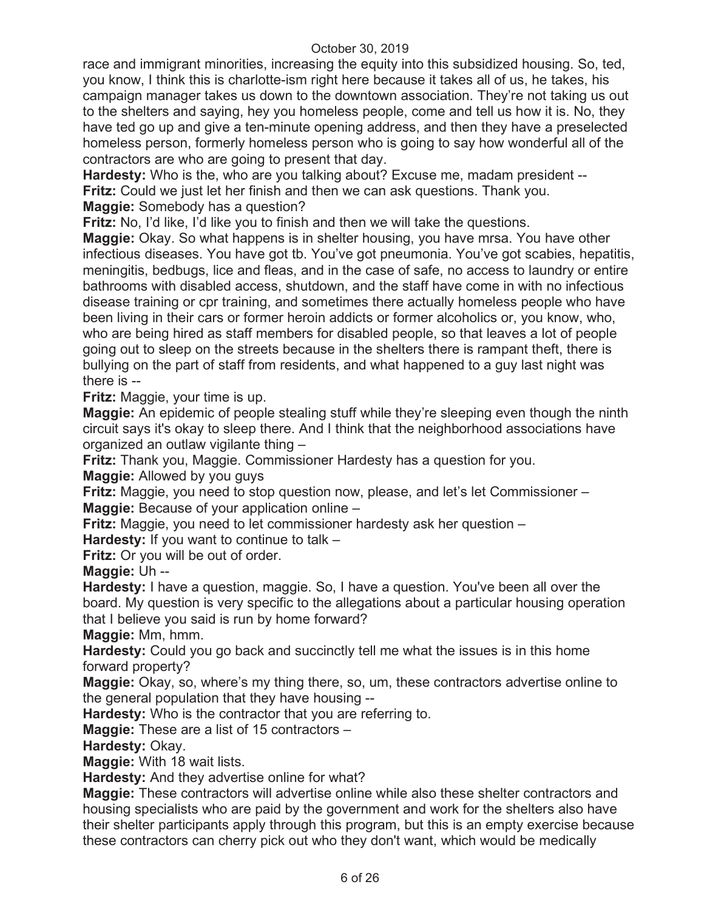race and immigrant minorities, increasing the equity into this subsidized housing. So, ted, you know, I think this is charlotte-ism right here because it takes all of us, he takes, his campaign manager takes us down to the downtown association. They're not taking us out to the shelters and saying, hey you homeless people, come and tell us how it is. No, they have ted go up and give a ten-minute opening address, and then they have a preselected homeless person, formerly homeless person who is going to say how wonderful all of the contractors are who are going to present that day.

**Hardesty:** Who is the, who are you talking about? Excuse me, madam president -- **Fritz:** Could we just let her finish and then we can ask questions. Thank you. **Maggie:** Somebody has a question?

**Fritz:** No, I'd like, I'd like you to finish and then we will take the questions.

**Maggie:** Okay. So what happens is in shelter housing, you have mrsa. You have other infectious diseases. You have got tb. You've got pneumonia. You've got scabies, hepatitis, meningitis, bedbugs, lice and fleas, and in the case of safe, no access to laundry or entire bathrooms with disabled access, shutdown, and the staff have come in with no infectious disease training or cpr training, and sometimes there actually homeless people who have been living in their cars or former heroin addicts or former alcoholics or, you know, who, who are being hired as staff members for disabled people, so that leaves a lot of people going out to sleep on the streets because in the shelters there is rampant theft, there is bullying on the part of staff from residents, and what happened to a guy last night was there is --

**Fritz:** Maggie, your time is up.

**Maggie:** An epidemic of people stealing stuff while they're sleeping even though the ninth circuit says it's okay to sleep there. And I think that the neighborhood associations have organized an outlaw vigilante thing –

**Fritz:** Thank you, Maggie. Commissioner Hardesty has a question for you.

**Maggie:** Allowed by you guys

**Fritz:** Maggie, you need to stop question now, please, and let's let Commissioner – **Maggie:** Because of your application online –

**Fritz:** Maggie, you need to let commissioner hardesty ask her question –

**Hardesty:** If you want to continue to talk –

**Fritz:** Or you will be out of order.

**Maggie:** Uh --

**Hardesty:** I have a question, maggie. So, I have a question. You've been all over the board. My question is very specific to the allegations about a particular housing operation that I believe you said is run by home forward?

**Maggie:** Mm, hmm.

**Hardesty:** Could you go back and succinctly tell me what the issues is in this home forward property?

**Maggie:** Okay, so, where's my thing there, so, um, these contractors advertise online to the general population that they have housing --

**Hardesty:** Who is the contractor that you are referring to.

**Maggie:** These are a list of 15 contractors –

**Hardesty:** Okay.

**Maggie:** With 18 wait lists.

**Hardesty:** And they advertise online for what?

**Maggie:** These contractors will advertise online while also these shelter contractors and housing specialists who are paid by the government and work for the shelters also have their shelter participants apply through this program, but this is an empty exercise because these contractors can cherry pick out who they don't want, which would be medically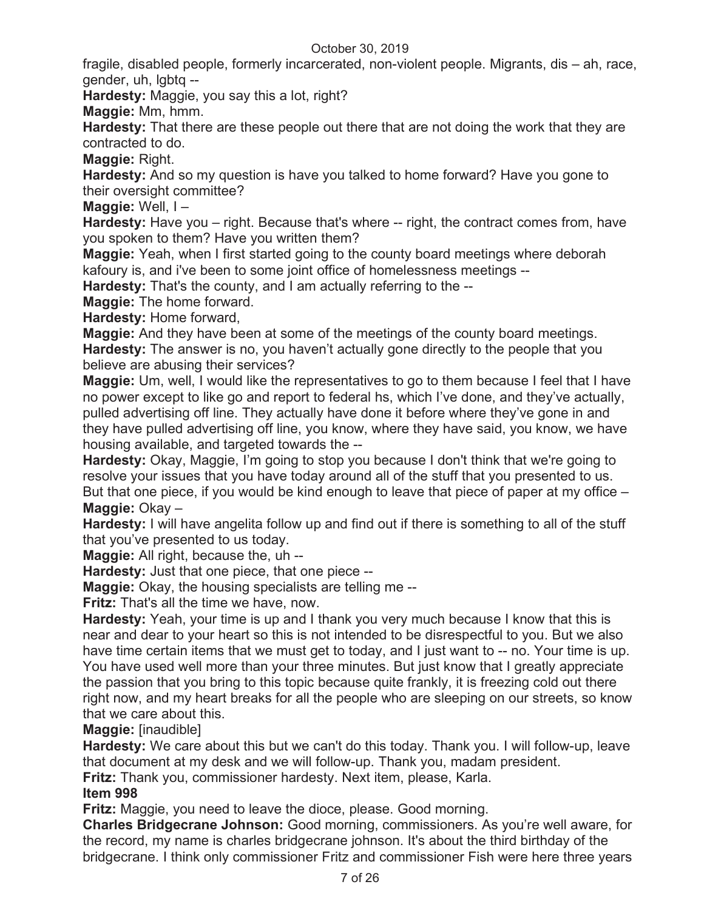fragile, disabled people, formerly incarcerated, non-violent people. Migrants, dis – ah, race, gender, uh, lgbtq --

**Hardesty:** Maggie, you say this a lot, right?

**Maggie:** Mm, hmm.

**Hardesty:** That there are these people out there that are not doing the work that they are contracted to do.

**Maggie:** Right.

**Hardesty:** And so my question is have you talked to home forward? Have you gone to their oversight committee?

**Maggie:** Well, I –

**Hardesty:** Have you – right. Because that's where -- right, the contract comes from, have you spoken to them? Have you written them?

**Maggie:** Yeah, when I first started going to the county board meetings where deborah kafoury is, and i've been to some joint office of homelessness meetings --

**Hardesty:** That's the county, and I am actually referring to the --

**Maggie:** The home forward.

**Hardesty:** Home forward,

**Maggie:** And they have been at some of the meetings of the county board meetings. **Hardesty:** The answer is no, you haven't actually gone directly to the people that you believe are abusing their services?

**Maggie:** Um, well, I would like the representatives to go to them because I feel that I have no power except to like go and report to federal hs, which I've done, and they've actually, pulled advertising off line. They actually have done it before where they've gone in and they have pulled advertising off line, you know, where they have said, you know, we have housing available, and targeted towards the --

**Hardesty:** Okay, Maggie, I'm going to stop you because I don't think that we're going to resolve your issues that you have today around all of the stuff that you presented to us. But that one piece, if you would be kind enough to leave that piece of paper at my office – **Maggie:** Okay –

**Hardesty:** I will have angelita follow up and find out if there is something to all of the stuff that you've presented to us today.

**Maggie:** All right, because the, uh --

**Hardesty:** Just that one piece, that one piece --

**Maggie:** Okay, the housing specialists are telling me --

**Fritz:** That's all the time we have, now.

**Hardesty:** Yeah, your time is up and I thank you very much because I know that this is near and dear to your heart so this is not intended to be disrespectful to you. But we also have time certain items that we must get to today, and I just want to -- no. Your time is up. You have used well more than your three minutes. But just know that I greatly appreciate the passion that you bring to this topic because quite frankly, it is freezing cold out there right now, and my heart breaks for all the people who are sleeping on our streets, so know that we care about this.

**Maggie:** [inaudible]

**Hardesty:** We care about this but we can't do this today. Thank you. I will follow-up, leave that document at my desk and we will follow-up. Thank you, madam president.

**Fritz:** Thank you, commissioner hardesty. Next item, please, Karla.

**Item 998** 

**Fritz:** Maggie, you need to leave the dioce, please. Good morning.

**Charles Bridgecrane Johnson:** Good morning, commissioners. As you're well aware, for the record, my name is charles bridgecrane johnson. It's about the third birthday of the bridgecrane. I think only commissioner Fritz and commissioner Fish were here three years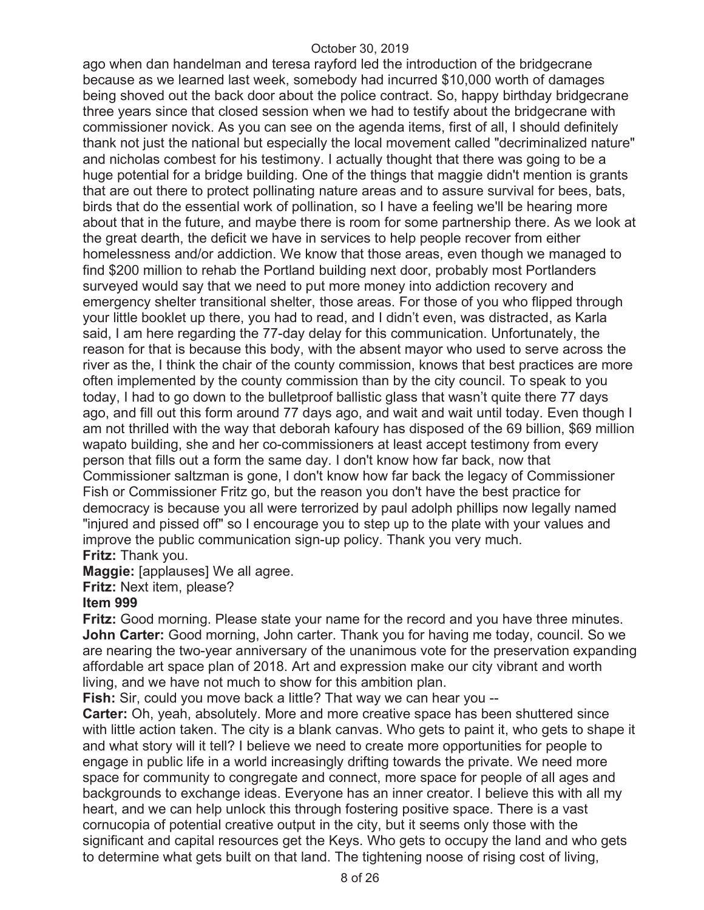ago when dan handelman and teresa rayford led the introduction of the bridgecrane because as we learned last week, somebody had incurred \$10,000 worth of damages being shoved out the back door about the police contract. So, happy birthday bridgecrane three years since that closed session when we had to testify about the bridgecrane with commissioner novick. As you can see on the agenda items, first of all, I should definitely thank not just the national but especially the local movement called "decriminalized nature" and nicholas combest for his testimony. I actually thought that there was going to be a huge potential for a bridge building. One of the things that maggie didn't mention is grants that are out there to protect pollinating nature areas and to assure survival for bees, bats, birds that do the essential work of pollination, so I have a feeling we'll be hearing more about that in the future, and maybe there is room for some partnership there. As we look at the great dearth, the deficit we have in services to help people recover from either homelessness and/or addiction. We know that those areas, even though we managed to find \$200 million to rehab the Portland building next door, probably most Portlanders surveyed would say that we need to put more money into addiction recovery and emergency shelter transitional shelter, those areas. For those of you who flipped through your little booklet up there, you had to read, and I didn't even, was distracted, as Karla said, I am here regarding the 77-day delay for this communication. Unfortunately, the reason for that is because this body, with the absent mayor who used to serve across the river as the, I think the chair of the county commission, knows that best practices are more often implemented by the county commission than by the city council. To speak to you today, I had to go down to the bulletproof ballistic glass that wasn't quite there 77 days ago, and fill out this form around 77 days ago, and wait and wait until today. Even though I am not thrilled with the way that deborah kafoury has disposed of the 69 billion, \$69 million wapato building, she and her co-commissioners at least accept testimony from every person that fills out a form the same day. I don't know how far back, now that Commissioner saltzman is gone, I don't know how far back the legacy of Commissioner Fish or Commissioner Fritz go, but the reason you don't have the best practice for democracy is because you all were terrorized by paul adolph phillips now legally named "injured and pissed off" so I encourage you to step up to the plate with your values and improve the public communication sign-up policy. Thank you very much. **Fritz:** Thank you.

**Maggie:** [applauses] We all agree.

**Fritz:** Next item, please?

#### **Item 999**

**Fritz:** Good morning. Please state your name for the record and you have three minutes. **John Carter:** Good morning, John carter. Thank you for having me today, council. So we are nearing the two-year anniversary of the unanimous vote for the preservation expanding affordable art space plan of 2018. Art and expression make our city vibrant and worth living, and we have not much to show for this ambition plan.

**Fish:** Sir, could you move back a little? That way we can hear you --

**Carter:** Oh, yeah, absolutely. More and more creative space has been shuttered since with little action taken. The city is a blank canvas. Who gets to paint it, who gets to shape it and what story will it tell? I believe we need to create more opportunities for people to engage in public life in a world increasingly drifting towards the private. We need more space for community to congregate and connect, more space for people of all ages and backgrounds to exchange ideas. Everyone has an inner creator. I believe this with all my heart, and we can help unlock this through fostering positive space. There is a vast cornucopia of potential creative output in the city, but it seems only those with the significant and capital resources get the Keys. Who gets to occupy the land and who gets to determine what gets built on that land. The tightening noose of rising cost of living,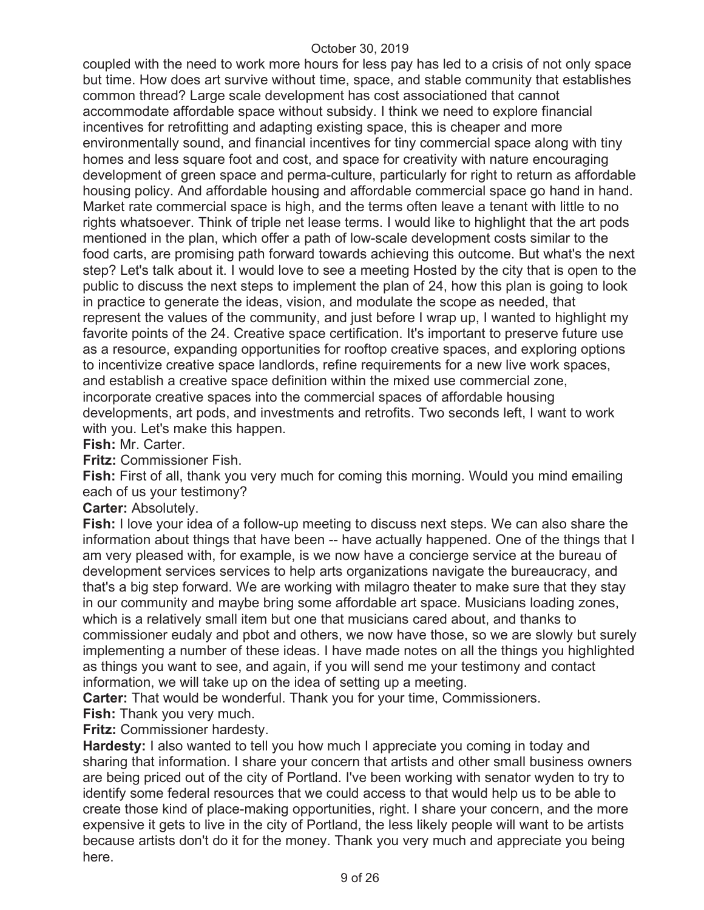coupled with the need to work more hours for less pay has led to a crisis of not only space but time. How does art survive without time, space, and stable community that establishes common thread? Large scale development has cost associationed that cannot accommodate affordable space without subsidy. I think we need to explore financial incentives for retrofitting and adapting existing space, this is cheaper and more environmentally sound, and financial incentives for tiny commercial space along with tiny homes and less square foot and cost, and space for creativity with nature encouraging development of green space and perma-culture, particularly for right to return as affordable housing policy. And affordable housing and affordable commercial space go hand in hand. Market rate commercial space is high, and the terms often leave a tenant with little to no rights whatsoever. Think of triple net lease terms. I would like to highlight that the art pods mentioned in the plan, which offer a path of low-scale development costs similar to the food carts, are promising path forward towards achieving this outcome. But what's the next step? Let's talk about it. I would love to see a meeting Hosted by the city that is open to the public to discuss the next steps to implement the plan of 24, how this plan is going to look in practice to generate the ideas, vision, and modulate the scope as needed, that represent the values of the community, and just before I wrap up, I wanted to highlight my favorite points of the 24. Creative space certification. It's important to preserve future use as a resource, expanding opportunities for rooftop creative spaces, and exploring options to incentivize creative space landlords, refine requirements for a new live work spaces, and establish a creative space definition within the mixed use commercial zone, incorporate creative spaces into the commercial spaces of affordable housing developments, art pods, and investments and retrofits. Two seconds left, I want to work with you. Let's make this happen.

**Fish:** Mr. Carter.

**Fritz:** Commissioner Fish.

**Fish:** First of all, thank you very much for coming this morning. Would you mind emailing each of us your testimony?

**Carter:** Absolutely.

**Fish:** I love your idea of a follow-up meeting to discuss next steps. We can also share the information about things that have been -- have actually happened. One of the things that I am very pleased with, for example, is we now have a concierge service at the bureau of development services services to help arts organizations navigate the bureaucracy, and that's a big step forward. We are working with milagro theater to make sure that they stay in our community and maybe bring some affordable art space. Musicians loading zones, which is a relatively small item but one that musicians cared about, and thanks to commissioner eudaly and pbot and others, we now have those, so we are slowly but surely implementing a number of these ideas. I have made notes on all the things you highlighted as things you want to see, and again, if you will send me your testimony and contact information, we will take up on the idea of setting up a meeting.

**Carter:** That would be wonderful. Thank you for your time, Commissioners.

**Fish:** Thank you very much.

**Fritz:** Commissioner hardesty.

**Hardesty:** I also wanted to tell you how much I appreciate you coming in today and sharing that information. I share your concern that artists and other small business owners are being priced out of the city of Portland. I've been working with senator wyden to try to identify some federal resources that we could access to that would help us to be able to create those kind of place-making opportunities, right. I share your concern, and the more expensive it gets to live in the city of Portland, the less likely people will want to be artists because artists don't do it for the money. Thank you very much and appreciate you being here.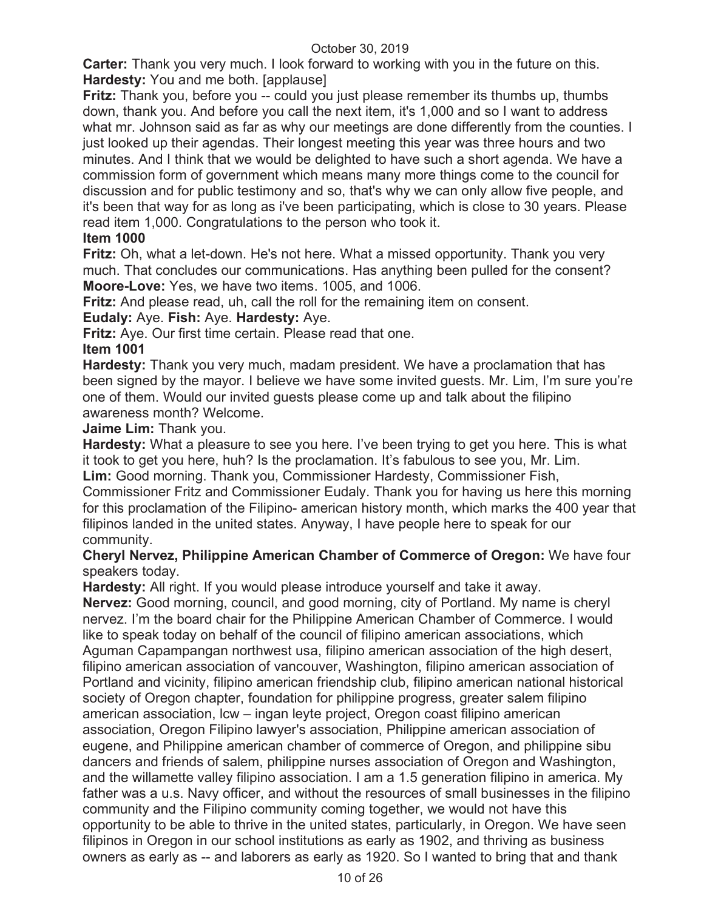**Carter:** Thank you very much. I look forward to working with you in the future on this. **Hardesty:** You and me both. [applause]

**Fritz:** Thank you, before you -- could you just please remember its thumbs up, thumbs down, thank you. And before you call the next item, it's 1,000 and so I want to address what mr. Johnson said as far as why our meetings are done differently from the counties. I just looked up their agendas. Their longest meeting this year was three hours and two minutes. And I think that we would be delighted to have such a short agenda. We have a commission form of government which means many more things come to the council for discussion and for public testimony and so, that's why we can only allow five people, and it's been that way for as long as i've been participating, which is close to 30 years. Please read item 1,000. Congratulations to the person who took it.

## **Item 1000**

**Fritz:** Oh, what a let-down. He's not here. What a missed opportunity. Thank you very much. That concludes our communications. Has anything been pulled for the consent? **Moore-Love:** Yes, we have two items. 1005, and 1006.

**Fritz:** And please read, uh, call the roll for the remaining item on consent.

**Eudaly:** Aye. **Fish:** Aye. **Hardesty:** Aye.

**Fritz:** Aye. Our first time certain. Please read that one.

#### **Item 1001**

**Hardesty:** Thank you very much, madam president. We have a proclamation that has been signed by the mayor. I believe we have some invited guests. Mr. Lim, I'm sure you're one of them. Would our invited guests please come up and talk about the filipino awareness month? Welcome.

**Jaime Lim:** Thank you.

**Hardesty:** What a pleasure to see you here. I've been trying to get you here. This is what it took to get you here, huh? Is the proclamation. It's fabulous to see you, Mr. Lim.

**Lim:** Good morning. Thank you, Commissioner Hardesty, Commissioner Fish,

Commissioner Fritz and Commissioner Eudaly. Thank you for having us here this morning for this proclamation of the Filipino- american history month, which marks the 400 year that filipinos landed in the united states. Anyway, I have people here to speak for our community.

## **Cheryl Nervez, Philippine American Chamber of Commerce of Oregon:** We have four speakers today.

**Hardesty:** All right. If you would please introduce yourself and take it away.

**Nervez:** Good morning, council, and good morning, city of Portland. My name is cheryl nervez. I'm the board chair for the Philippine American Chamber of Commerce. I would like to speak today on behalf of the council of filipino american associations, which Aguman Capampangan northwest usa, filipino american association of the high desert, filipino american association of vancouver, Washington, filipino american association of Portland and vicinity, filipino american friendship club, filipino american national historical society of Oregon chapter, foundation for philippine progress, greater salem filipino american association, lcw – ingan leyte project, Oregon coast filipino american association, Oregon Filipino lawyer's association, Philippine american association of eugene, and Philippine american chamber of commerce of Oregon, and philippine sibu dancers and friends of salem, philippine nurses association of Oregon and Washington, and the willamette valley filipino association. I am a 1.5 generation filipino in america. My father was a u.s. Navy officer, and without the resources of small businesses in the filipino community and the Filipino community coming together, we would not have this opportunity to be able to thrive in the united states, particularly, in Oregon. We have seen filipinos in Oregon in our school institutions as early as 1902, and thriving as business owners as early as -- and laborers as early as 1920. So I wanted to bring that and thank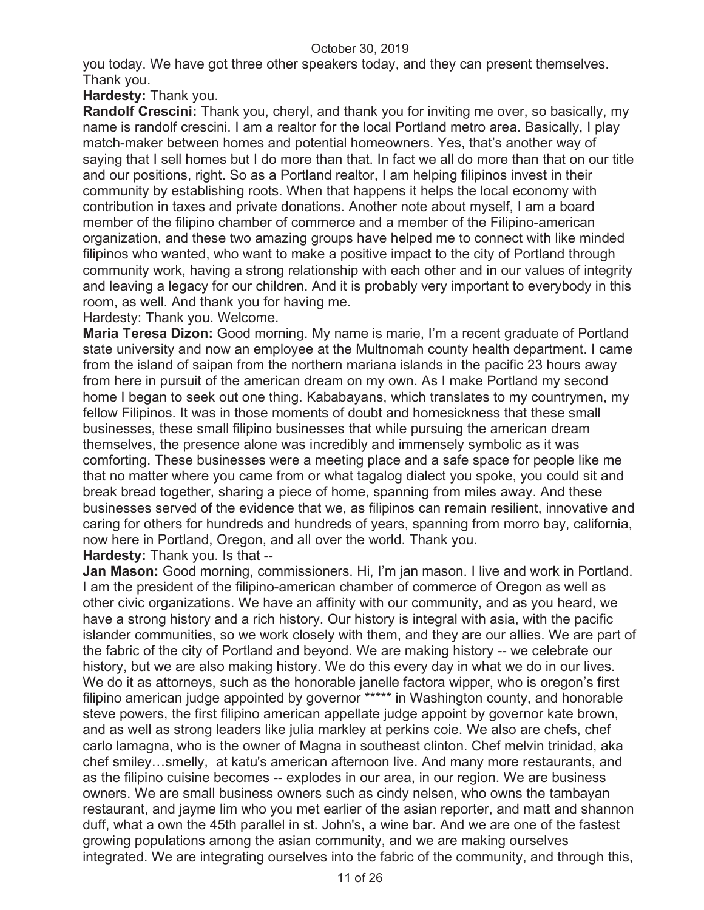you today. We have got three other speakers today, and they can present themselves. Thank you.

**Hardesty:** Thank you.

**Randolf Crescini:** Thank you, cheryl, and thank you for inviting me over, so basically, my name is randolf crescini. I am a realtor for the local Portland metro area. Basically, I play match-maker between homes and potential homeowners. Yes, that's another way of saying that I sell homes but I do more than that. In fact we all do more than that on our title and our positions, right. So as a Portland realtor, I am helping filipinos invest in their community by establishing roots. When that happens it helps the local economy with contribution in taxes and private donations. Another note about myself, I am a board member of the filipino chamber of commerce and a member of the Filipino-american organization, and these two amazing groups have helped me to connect with like minded filipinos who wanted, who want to make a positive impact to the city of Portland through community work, having a strong relationship with each other and in our values of integrity and leaving a legacy for our children. And it is probably very important to everybody in this room, as well. And thank you for having me.

Hardesty: Thank you. Welcome.

**Maria Teresa Dizon:** Good morning. My name is marie, I'm a recent graduate of Portland state university and now an employee at the Multnomah county health department. I came from the island of saipan from the northern mariana islands in the pacific 23 hours away from here in pursuit of the american dream on my own. As I make Portland my second home I began to seek out one thing. Kababayans, which translates to my countrymen, my fellow Filipinos. It was in those moments of doubt and homesickness that these small businesses, these small filipino businesses that while pursuing the american dream themselves, the presence alone was incredibly and immensely symbolic as it was comforting. These businesses were a meeting place and a safe space for people like me that no matter where you came from or what tagalog dialect you spoke, you could sit and break bread together, sharing a piece of home, spanning from miles away. And these businesses served of the evidence that we, as filipinos can remain resilient, innovative and caring for others for hundreds and hundreds of years, spanning from morro bay, california, now here in Portland, Oregon, and all over the world. Thank you.

**Hardesty:** Thank you. Is that --

**Jan Mason:** Good morning, commissioners. Hi, I'm jan mason. I live and work in Portland. I am the president of the filipino-american chamber of commerce of Oregon as well as other civic organizations. We have an affinity with our community, and as you heard, we have a strong history and a rich history. Our history is integral with asia, with the pacific islander communities, so we work closely with them, and they are our allies. We are part of the fabric of the city of Portland and beyond. We are making history -- we celebrate our history, but we are also making history. We do this every day in what we do in our lives. We do it as attorneys, such as the honorable janelle factora wipper, who is oregon's first filipino american judge appointed by governor \*\*\*\*\* in Washington county, and honorable steve powers, the first filipino american appellate judge appoint by governor kate brown, and as well as strong leaders like julia markley at perkins coie. We also are chefs, chef carlo lamagna, who is the owner of Magna in southeast clinton. Chef melvin trinidad, aka chef smiley…smelly, at katu's american afternoon live. And many more restaurants, and as the filipino cuisine becomes -- explodes in our area, in our region. We are business owners. We are small business owners such as cindy nelsen, who owns the tambayan restaurant, and jayme lim who you met earlier of the asian reporter, and matt and shannon duff, what a own the 45th parallel in st. John's, a wine bar. And we are one of the fastest growing populations among the asian community, and we are making ourselves integrated. We are integrating ourselves into the fabric of the community, and through this,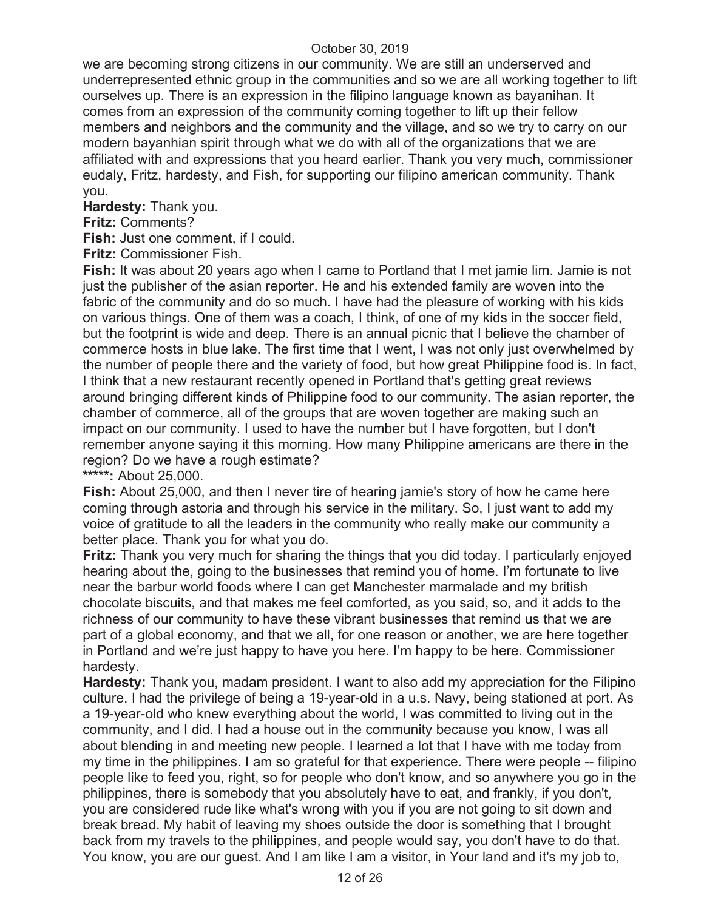we are becoming strong citizens in our community. We are still an underserved and underrepresented ethnic group in the communities and so we are all working together to lift ourselves up. There is an expression in the filipino language known as bayanihan. It comes from an expression of the community coming together to lift up their fellow members and neighbors and the community and the village, and so we try to carry on our modern bayanhian spirit through what we do with all of the organizations that we are affiliated with and expressions that you heard earlier. Thank you very much, commissioner eudaly, Fritz, hardesty, and Fish, for supporting our filipino american community. Thank you.

**Hardesty:** Thank you.

**Fritz:** Comments?

**Fish:** Just one comment, if I could.

**Fritz:** Commissioner Fish.

**Fish:** It was about 20 years ago when I came to Portland that I met jamie lim. Jamie is not just the publisher of the asian reporter. He and his extended family are woven into the fabric of the community and do so much. I have had the pleasure of working with his kids on various things. One of them was a coach, I think, of one of my kids in the soccer field, but the footprint is wide and deep. There is an annual picnic that I believe the chamber of commerce hosts in blue lake. The first time that I went, I was not only just overwhelmed by the number of people there and the variety of food, but how great Philippine food is. In fact, I think that a new restaurant recently opened in Portland that's getting great reviews around bringing different kinds of Philippine food to our community. The asian reporter, the chamber of commerce, all of the groups that are woven together are making such an impact on our community. I used to have the number but I have forgotten, but I don't remember anyone saying it this morning. How many Philippine americans are there in the region? Do we have a rough estimate?

**\*\*\*\*\*:** About 25,000.

**Fish:** About 25,000, and then I never tire of hearing jamie's story of how he came here coming through astoria and through his service in the military. So, I just want to add my voice of gratitude to all the leaders in the community who really make our community a better place. Thank you for what you do.

**Fritz:** Thank you very much for sharing the things that you did today. I particularly enjoyed hearing about the, going to the businesses that remind you of home. I'm fortunate to live near the barbur world foods where I can get Manchester marmalade and my british chocolate biscuits, and that makes me feel comforted, as you said, so, and it adds to the richness of our community to have these vibrant businesses that remind us that we are part of a global economy, and that we all, for one reason or another, we are here together in Portland and we're just happy to have you here. I'm happy to be here. Commissioner hardesty.

**Hardesty:** Thank you, madam president. I want to also add my appreciation for the Filipino culture. I had the privilege of being a 19-year-old in a u.s. Navy, being stationed at port. As a 19-year-old who knew everything about the world, I was committed to living out in the community, and I did. I had a house out in the community because you know, I was all about blending in and meeting new people. I learned a lot that I have with me today from my time in the philippines. I am so grateful for that experience. There were people -- filipino people like to feed you, right, so for people who don't know, and so anywhere you go in the philippines, there is somebody that you absolutely have to eat, and frankly, if you don't, you are considered rude like what's wrong with you if you are not going to sit down and break bread. My habit of leaving my shoes outside the door is something that I brought back from my travels to the philippines, and people would say, you don't have to do that. You know, you are our guest. And I am like I am a visitor, in Your land and it's my job to,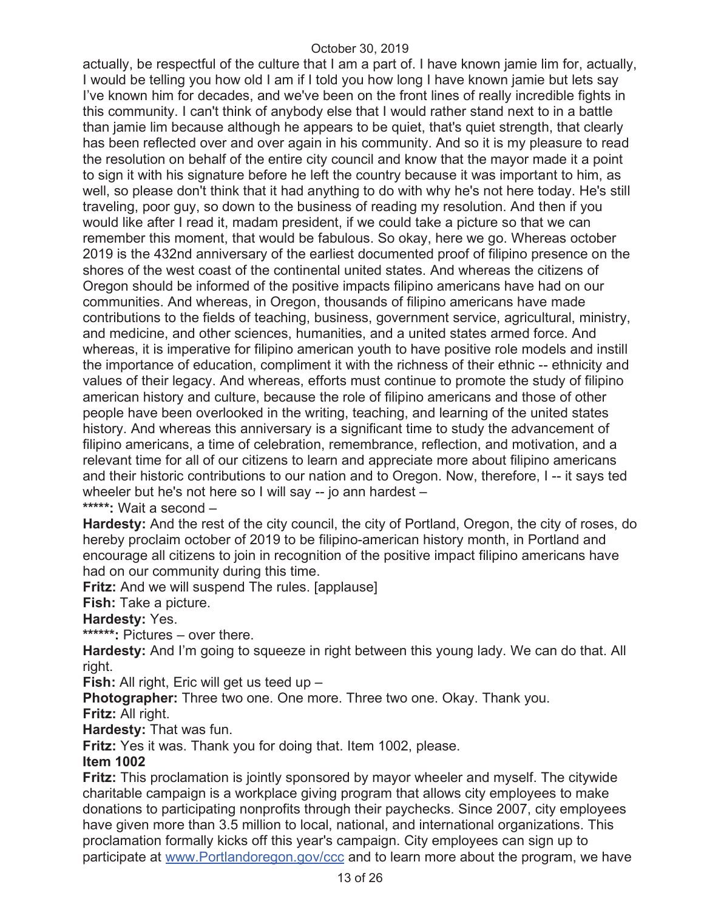actually, be respectful of the culture that I am a part of. I have known jamie lim for, actually, I would be telling you how old I am if I told you how long I have known jamie but lets say I've known him for decades, and we've been on the front lines of really incredible fights in this community. I can't think of anybody else that I would rather stand next to in a battle than jamie lim because although he appears to be quiet, that's quiet strength, that clearly has been reflected over and over again in his community. And so it is my pleasure to read the resolution on behalf of the entire city council and know that the mayor made it a point to sign it with his signature before he left the country because it was important to him, as well, so please don't think that it had anything to do with why he's not here today. He's still traveling, poor guy, so down to the business of reading my resolution. And then if you would like after I read it, madam president, if we could take a picture so that we can remember this moment, that would be fabulous. So okay, here we go. Whereas october 2019 is the 432nd anniversary of the earliest documented proof of filipino presence on the shores of the west coast of the continental united states. And whereas the citizens of Oregon should be informed of the positive impacts filipino americans have had on our communities. And whereas, in Oregon, thousands of filipino americans have made contributions to the fields of teaching, business, government service, agricultural, ministry, and medicine, and other sciences, humanities, and a united states armed force. And whereas, it is imperative for filipino american youth to have positive role models and instill the importance of education, compliment it with the richness of their ethnic -- ethnicity and values of their legacy. And whereas, efforts must continue to promote the study of filipino american history and culture, because the role of filipino americans and those of other people have been overlooked in the writing, teaching, and learning of the united states history. And whereas this anniversary is a significant time to study the advancement of filipino americans, a time of celebration, remembrance, reflection, and motivation, and a relevant time for all of our citizens to learn and appreciate more about filipino americans and their historic contributions to our nation and to Oregon. Now, therefore, I -- it says ted wheeler but he's not here so I will say -- jo ann hardest -**\*\*\*\*\*:** Wait a second –

**Hardesty:** And the rest of the city council, the city of Portland, Oregon, the city of roses, do hereby proclaim october of 2019 to be filipino-american history month, in Portland and encourage all citizens to join in recognition of the positive impact filipino americans have had on our community during this time.

**Fritz:** And we will suspend The rules. [applause]

**Fish:** Take a picture.

**Hardesty:** Yes.

**\*\*\*\*\*\*:** Pictures – over there.

**Hardesty:** And I'm going to squeeze in right between this young lady. We can do that. All right.

**Fish:** All right, Eric will get us teed up –

**Photographer:** Three two one. One more. Three two one. Okay. Thank you.

**Fritz:** All right.

**Hardesty:** That was fun.

**Fritz:** Yes it was. Thank you for doing that. Item 1002, please.

#### **Item 1002**

**Fritz:** This proclamation is jointly sponsored by mayor wheeler and myself. The citywide charitable campaign is a workplace giving program that allows city employees to make donations to participating nonprofits through their paychecks. Since 2007, city employees have given more than 3.5 million to local, national, and international organizations. This proclamation formally kicks off this year's campaign. City employees can sign up to participate at www.Portlandoregon.gov/ccc and to learn more about the program, we have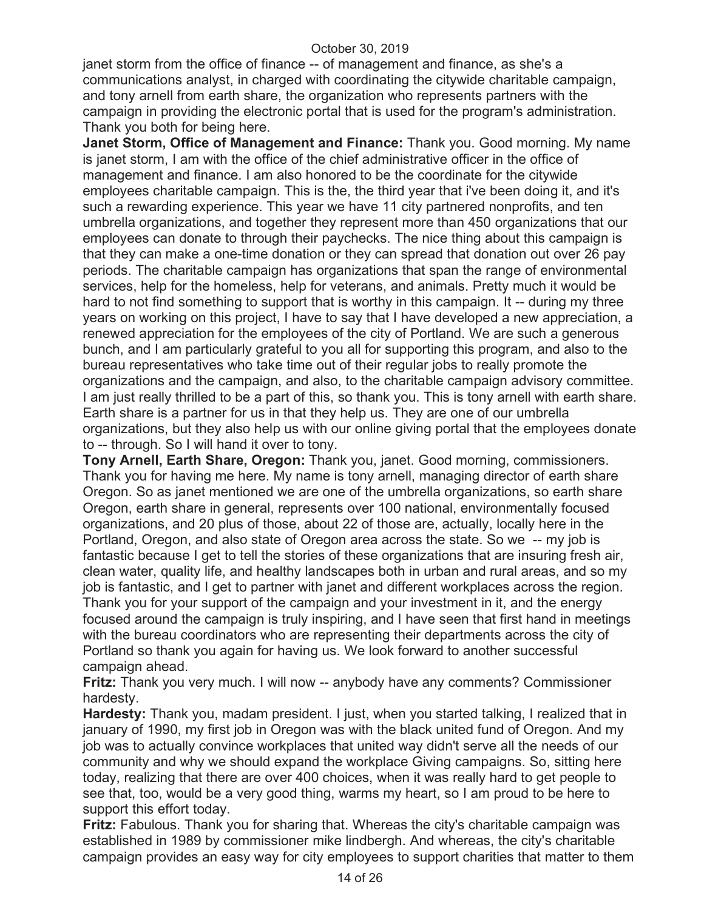janet storm from the office of finance -- of management and finance, as she's a communications analyst, in charged with coordinating the citywide charitable campaign, and tony arnell from earth share, the organization who represents partners with the campaign in providing the electronic portal that is used for the program's administration. Thank you both for being here.

**Janet Storm, Office of Management and Finance:** Thank you. Good morning. My name is janet storm, I am with the office of the chief administrative officer in the office of management and finance. I am also honored to be the coordinate for the citywide employees charitable campaign. This is the, the third year that i've been doing it, and it's such a rewarding experience. This year we have 11 city partnered nonprofits, and ten umbrella organizations, and together they represent more than 450 organizations that our employees can donate to through their paychecks. The nice thing about this campaign is that they can make a one-time donation or they can spread that donation out over 26 pay periods. The charitable campaign has organizations that span the range of environmental services, help for the homeless, help for veterans, and animals. Pretty much it would be hard to not find something to support that is worthy in this campaign. It -- during my three years on working on this project, I have to say that I have developed a new appreciation, a renewed appreciation for the employees of the city of Portland. We are such a generous bunch, and I am particularly grateful to you all for supporting this program, and also to the bureau representatives who take time out of their regular jobs to really promote the organizations and the campaign, and also, to the charitable campaign advisory committee. I am just really thrilled to be a part of this, so thank you. This is tony arnell with earth share. Earth share is a partner for us in that they help us. They are one of our umbrella organizations, but they also help us with our online giving portal that the employees donate to -- through. So I will hand it over to tony.

**Tony Arnell, Earth Share, Oregon:** Thank you, janet. Good morning, commissioners. Thank you for having me here. My name is tony arnell, managing director of earth share Oregon. So as janet mentioned we are one of the umbrella organizations, so earth share Oregon, earth share in general, represents over 100 national, environmentally focused organizations, and 20 plus of those, about 22 of those are, actually, locally here in the Portland, Oregon, and also state of Oregon area across the state. So we -- my job is fantastic because I get to tell the stories of these organizations that are insuring fresh air, clean water, quality life, and healthy landscapes both in urban and rural areas, and so my job is fantastic, and I get to partner with janet and different workplaces across the region. Thank you for your support of the campaign and your investment in it, and the energy focused around the campaign is truly inspiring, and I have seen that first hand in meetings with the bureau coordinators who are representing their departments across the city of Portland so thank you again for having us. We look forward to another successful campaign ahead.

**Fritz:** Thank you very much. I will now -- anybody have any comments? Commissioner hardesty.

**Hardesty:** Thank you, madam president. I just, when you started talking, I realized that in january of 1990, my first job in Oregon was with the black united fund of Oregon. And my job was to actually convince workplaces that united way didn't serve all the needs of our community and why we should expand the workplace Giving campaigns. So, sitting here today, realizing that there are over 400 choices, when it was really hard to get people to see that, too, would be a very good thing, warms my heart, so I am proud to be here to support this effort today.

**Fritz:** Fabulous. Thank you for sharing that. Whereas the city's charitable campaign was established in 1989 by commissioner mike lindbergh. And whereas, the city's charitable campaign provides an easy way for city employees to support charities that matter to them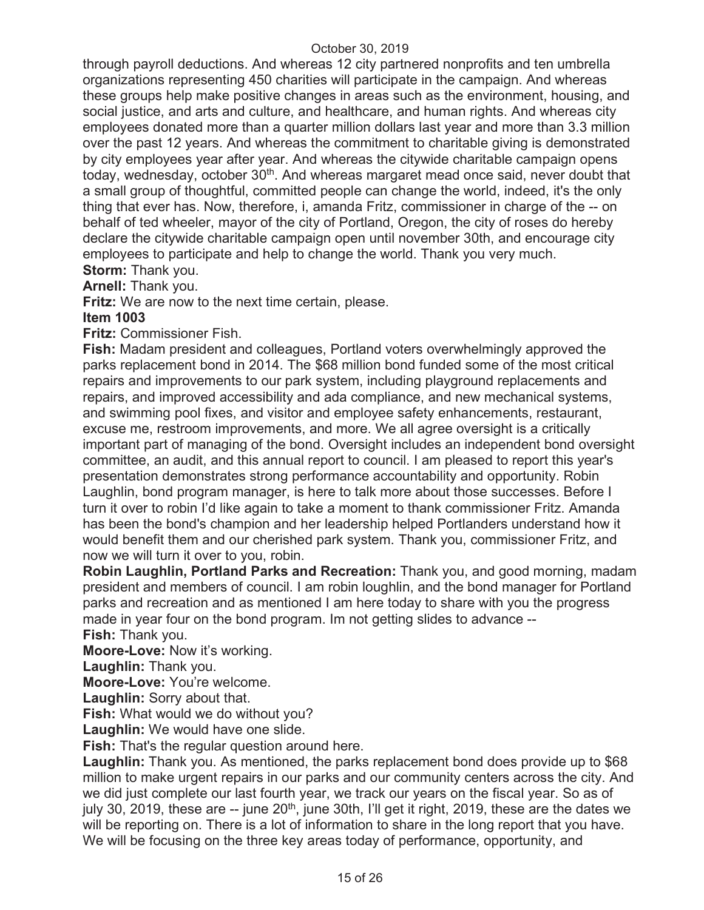through payroll deductions. And whereas 12 city partnered nonprofits and ten umbrella organizations representing 450 charities will participate in the campaign. And whereas these groups help make positive changes in areas such as the environment, housing, and social justice, and arts and culture, and healthcare, and human rights. And whereas city employees donated more than a quarter million dollars last year and more than 3.3 million over the past 12 years. And whereas the commitment to charitable giving is demonstrated by city employees year after year. And whereas the citywide charitable campaign opens today, wednesday, october 30<sup>th</sup>. And whereas margaret mead once said, never doubt that a small group of thoughtful, committed people can change the world, indeed, it's the only thing that ever has. Now, therefore, i, amanda Fritz, commissioner in charge of the -- on behalf of ted wheeler, mayor of the city of Portland, Oregon, the city of roses do hereby declare the citywide charitable campaign open until november 30th, and encourage city employees to participate and help to change the world. Thank you very much. **Storm:** Thank you.

**Arnell:** Thank you.

**Fritz:** We are now to the next time certain, please.

## **Item 1003**

**Fritz:** Commissioner Fish.

**Fish:** Madam president and colleagues, Portland voters overwhelmingly approved the parks replacement bond in 2014. The \$68 million bond funded some of the most critical repairs and improvements to our park system, including playground replacements and repairs, and improved accessibility and ada compliance, and new mechanical systems, and swimming pool fixes, and visitor and employee safety enhancements, restaurant, excuse me, restroom improvements, and more. We all agree oversight is a critically important part of managing of the bond. Oversight includes an independent bond oversight committee, an audit, and this annual report to council. I am pleased to report this year's presentation demonstrates strong performance accountability and opportunity. Robin Laughlin, bond program manager, is here to talk more about those successes. Before I turn it over to robin I'd like again to take a moment to thank commissioner Fritz. Amanda has been the bond's champion and her leadership helped Portlanders understand how it would benefit them and our cherished park system. Thank you, commissioner Fritz, and now we will turn it over to you, robin.

**Robin Laughlin, Portland Parks and Recreation:** Thank you, and good morning, madam president and members of council. I am robin loughlin, and the bond manager for Portland parks and recreation and as mentioned I am here today to share with you the progress made in year four on the bond program. Im not getting slides to advance --

**Fish:** Thank you.

**Moore-Love:** Now it's working.

**Laughlin:** Thank you.

**Moore-Love:** You're welcome.

**Laughlin:** Sorry about that.

**Fish:** What would we do without you?

**Laughlin:** We would have one slide.

**Fish:** That's the regular question around here.

Laughlin: Thank you. As mentioned, the parks replacement bond does provide up to \$68 million to make urgent repairs in our parks and our community centers across the city. And we did just complete our last fourth year, we track our years on the fiscal year. So as of july 30, 2019, these are -- june 20<sup>th</sup>, june 30th, I'll get it right, 2019, these are the dates we will be reporting on. There is a lot of information to share in the long report that you have. We will be focusing on the three key areas today of performance, opportunity, and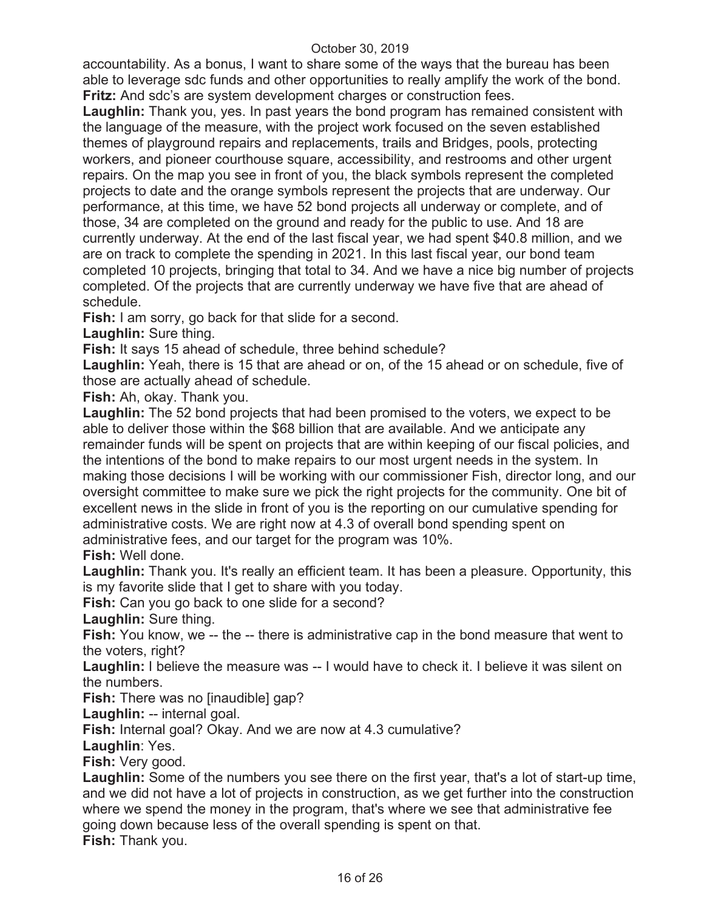accountability. As a bonus, I want to share some of the ways that the bureau has been able to leverage sdc funds and other opportunities to really amplify the work of the bond. **Fritz:** And sdc's are system development charges or construction fees.

**Laughlin:** Thank you, yes. In past years the bond program has remained consistent with the language of the measure, with the project work focused on the seven established themes of playground repairs and replacements, trails and Bridges, pools, protecting workers, and pioneer courthouse square, accessibility, and restrooms and other urgent repairs. On the map you see in front of you, the black symbols represent the completed projects to date and the orange symbols represent the projects that are underway. Our performance, at this time, we have 52 bond projects all underway or complete, and of those, 34 are completed on the ground and ready for the public to use. And 18 are currently underway. At the end of the last fiscal year, we had spent \$40.8 million, and we are on track to complete the spending in 2021. In this last fiscal year, our bond team completed 10 projects, bringing that total to 34. And we have a nice big number of projects completed. Of the projects that are currently underway we have five that are ahead of schedule.

**Fish:** I am sorry, go back for that slide for a second.

**Laughlin:** Sure thing.

**Fish:** It says 15 ahead of schedule, three behind schedule?

**Laughlin:** Yeah, there is 15 that are ahead or on, of the 15 ahead or on schedule, five of those are actually ahead of schedule.

**Fish:** Ah, okay. Thank you.

**Laughlin:** The 52 bond projects that had been promised to the voters, we expect to be able to deliver those within the \$68 billion that are available. And we anticipate any remainder funds will be spent on projects that are within keeping of our fiscal policies, and the intentions of the bond to make repairs to our most urgent needs in the system. In making those decisions I will be working with our commissioner Fish, director long, and our oversight committee to make sure we pick the right projects for the community. One bit of excellent news in the slide in front of you is the reporting on our cumulative spending for administrative costs. We are right now at 4.3 of overall bond spending spent on administrative fees, and our target for the program was 10%.

**Fish:** Well done.

**Laughlin:** Thank you. It's really an efficient team. It has been a pleasure. Opportunity, this is my favorite slide that I get to share with you today.

**Fish:** Can you go back to one slide for a second?

**Laughlin:** Sure thing.

**Fish:** You know, we -- the -- there is administrative cap in the bond measure that went to the voters, right?

**Laughlin:** I believe the measure was -- I would have to check it. I believe it was silent on the numbers.

**Fish:** There was no [inaudible] gap?

**Laughlin:** -- internal goal.

**Fish:** Internal goal? Okay. And we are now at 4.3 cumulative?

**Laughlin**: Yes.

**Fish:** Very good.

**Laughlin:** Some of the numbers you see there on the first year, that's a lot of start-up time, and we did not have a lot of projects in construction, as we get further into the construction where we spend the money in the program, that's where we see that administrative fee going down because less of the overall spending is spent on that. **Fish:** Thank you.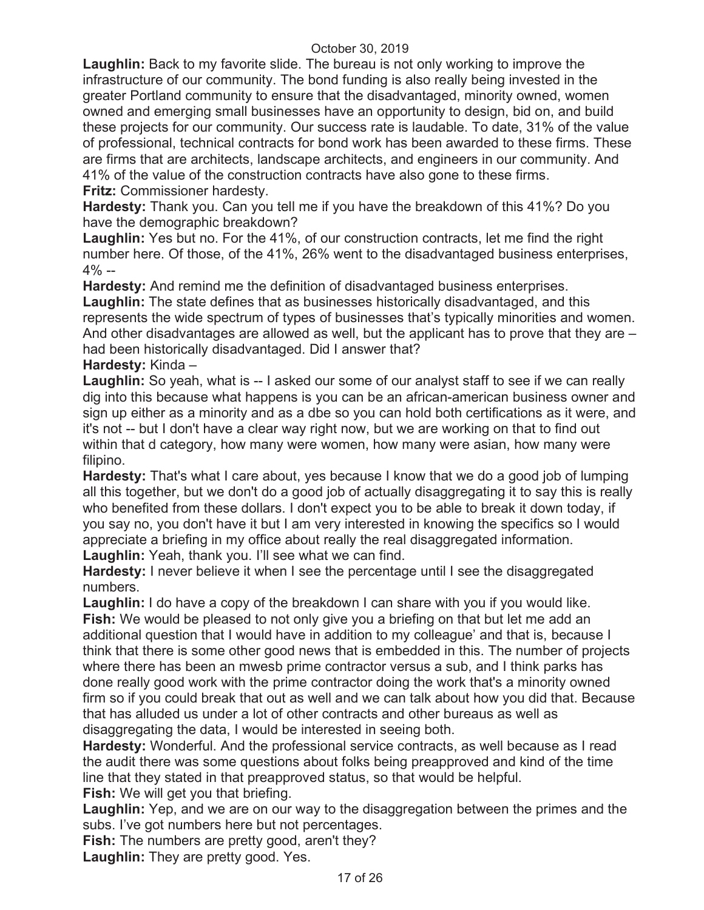**Laughlin:** Back to my favorite slide. The bureau is not only working to improve the infrastructure of our community. The bond funding is also really being invested in the greater Portland community to ensure that the disadvantaged, minority owned, women owned and emerging small businesses have an opportunity to design, bid on, and build these projects for our community. Our success rate is laudable. To date, 31% of the value of professional, technical contracts for bond work has been awarded to these firms. These are firms that are architects, landscape architects, and engineers in our community. And 41% of the value of the construction contracts have also gone to these firms. **Fritz:** Commissioner hardesty.

**Hardesty:** Thank you. Can you tell me if you have the breakdown of this 41%? Do you have the demographic breakdown?

**Laughlin:** Yes but no. For the 41%, of our construction contracts, let me find the right number here. Of those, of the 41%, 26% went to the disadvantaged business enterprises,  $4\% -$ 

**Hardesty:** And remind me the definition of disadvantaged business enterprises.

**Laughlin:** The state defines that as businesses historically disadvantaged, and this represents the wide spectrum of types of businesses that's typically minorities and women. And other disadvantages are allowed as well, but the applicant has to prove that they are – had been historically disadvantaged. Did I answer that?

**Hardesty:** Kinda –

**Laughlin:** So yeah, what is -- I asked our some of our analyst staff to see if we can really dig into this because what happens is you can be an african-american business owner and sign up either as a minority and as a dbe so you can hold both certifications as it were, and it's not -- but I don't have a clear way right now, but we are working on that to find out within that d category, how many were women, how many were asian, how many were filipino.

**Hardesty:** That's what I care about, yes because I know that we do a good job of lumping all this together, but we don't do a good job of actually disaggregating it to say this is really who benefited from these dollars. I don't expect you to be able to break it down today, if you say no, you don't have it but I am very interested in knowing the specifics so I would appreciate a briefing in my office about really the real disaggregated information. Laughlin: Yeah, thank you. I'll see what we can find.

**Hardesty:** I never believe it when I see the percentage until I see the disaggregated numbers.

**Laughlin:** I do have a copy of the breakdown I can share with you if you would like. **Fish:** We would be pleased to not only give you a briefing on that but let me add an additional question that I would have in addition to my colleague' and that is, because I think that there is some other good news that is embedded in this. The number of projects where there has been an mwesb prime contractor versus a sub, and I think parks has done really good work with the prime contractor doing the work that's a minority owned firm so if you could break that out as well and we can talk about how you did that. Because that has alluded us under a lot of other contracts and other bureaus as well as disaggregating the data, I would be interested in seeing both.

**Hardesty:** Wonderful. And the professional service contracts, as well because as I read the audit there was some questions about folks being preapproved and kind of the time line that they stated in that preapproved status, so that would be helpful. **Fish:** We will get you that briefing.

**Laughlin:** Yep, and we are on our way to the disaggregation between the primes and the subs. I've got numbers here but not percentages.

**Fish:** The numbers are pretty good, aren't they?

**Laughlin:** They are pretty good. Yes.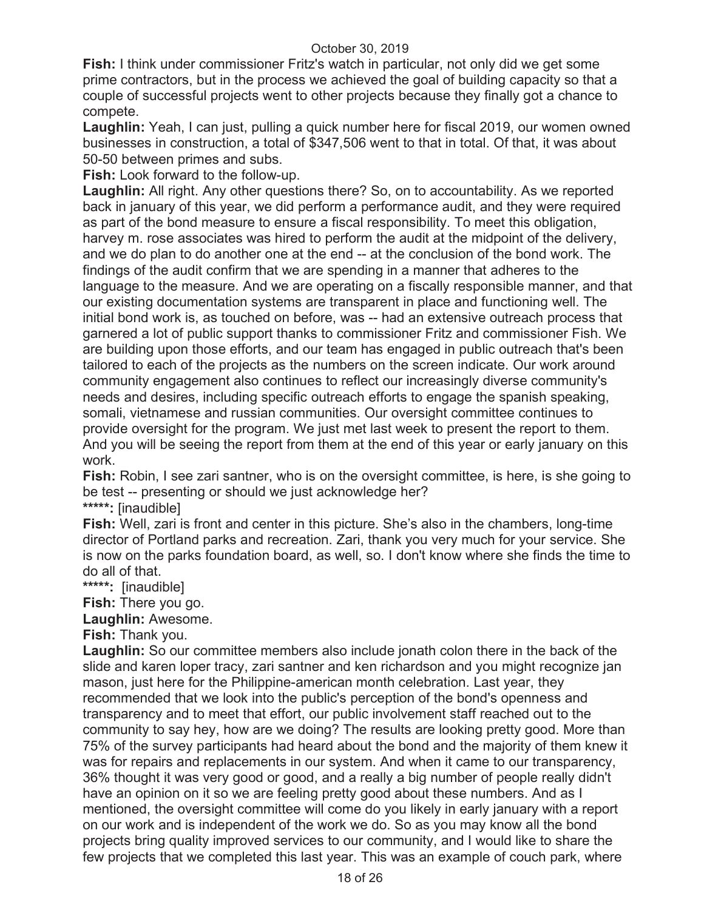**Fish:** I think under commissioner Fritz's watch in particular, not only did we get some prime contractors, but in the process we achieved the goal of building capacity so that a couple of successful projects went to other projects because they finally got a chance to compete.

**Laughlin:** Yeah, I can just, pulling a quick number here for fiscal 2019, our women owned businesses in construction, a total of \$347,506 went to that in total. Of that, it was about 50-50 between primes and subs.

**Fish:** Look forward to the follow-up.

**Laughlin:** All right. Any other questions there? So, on to accountability. As we reported back in january of this year, we did perform a performance audit, and they were required as part of the bond measure to ensure a fiscal responsibility. To meet this obligation, harvey m. rose associates was hired to perform the audit at the midpoint of the delivery, and we do plan to do another one at the end -- at the conclusion of the bond work. The findings of the audit confirm that we are spending in a manner that adheres to the language to the measure. And we are operating on a fiscally responsible manner, and that our existing documentation systems are transparent in place and functioning well. The initial bond work is, as touched on before, was -- had an extensive outreach process that garnered a lot of public support thanks to commissioner Fritz and commissioner Fish. We are building upon those efforts, and our team has engaged in public outreach that's been tailored to each of the projects as the numbers on the screen indicate. Our work around community engagement also continues to reflect our increasingly diverse community's needs and desires, including specific outreach efforts to engage the spanish speaking, somali, vietnamese and russian communities. Our oversight committee continues to provide oversight for the program. We just met last week to present the report to them. And you will be seeing the report from them at the end of this year or early january on this work.

**Fish:** Robin, I see zari santner, who is on the oversight committee, is here, is she going to be test -- presenting or should we just acknowledge her? **\*\*\*\*\*:** [inaudible]

**Fish:** Well, zari is front and center in this picture. She's also in the chambers, long-time director of Portland parks and recreation. Zari, thank you very much for your service. She is now on the parks foundation board, as well, so. I don't know where she finds the time to do all of that.

**\*\*\*\*\*:** [inaudible]

**Fish:** There you go.

**Laughlin:** Awesome.

**Fish:** Thank you.

**Laughlin:** So our committee members also include jonath colon there in the back of the slide and karen loper tracy, zari santner and ken richardson and you might recognize jan mason, just here for the Philippine-american month celebration. Last year, they recommended that we look into the public's perception of the bond's openness and transparency and to meet that effort, our public involvement staff reached out to the community to say hey, how are we doing? The results are looking pretty good. More than 75% of the survey participants had heard about the bond and the majority of them knew it was for repairs and replacements in our system. And when it came to our transparency, 36% thought it was very good or good, and a really a big number of people really didn't have an opinion on it so we are feeling pretty good about these numbers. And as I mentioned, the oversight committee will come do you likely in early january with a report on our work and is independent of the work we do. So as you may know all the bond projects bring quality improved services to our community, and I would like to share the few projects that we completed this last year. This was an example of couch park, where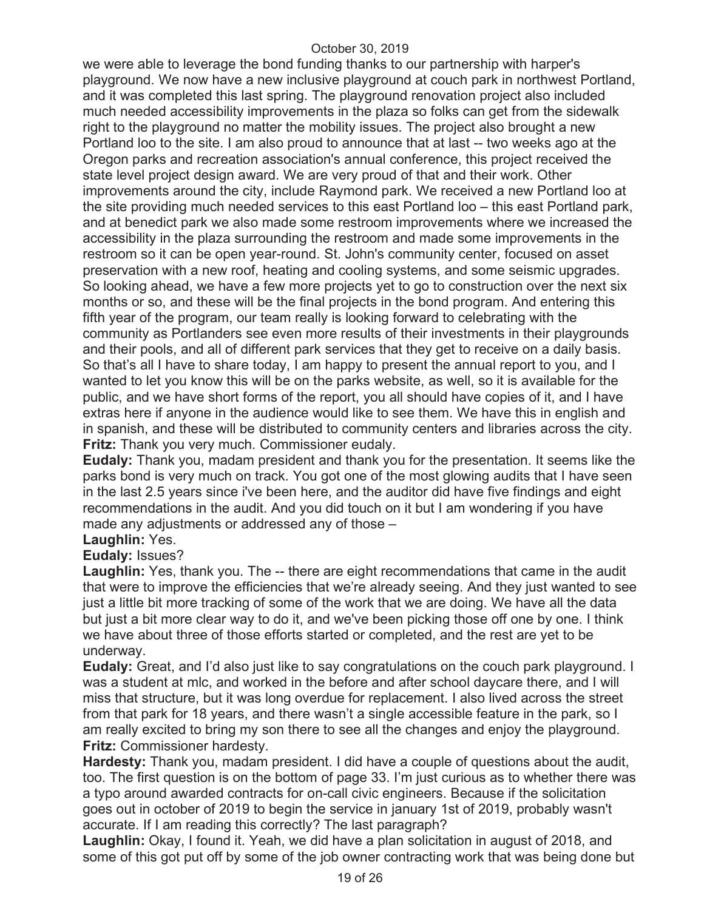we were able to leverage the bond funding thanks to our partnership with harper's playground. We now have a new inclusive playground at couch park in northwest Portland, and it was completed this last spring. The playground renovation project also included much needed accessibility improvements in the plaza so folks can get from the sidewalk right to the playground no matter the mobility issues. The project also brought a new Portland loo to the site. I am also proud to announce that at last -- two weeks ago at the Oregon parks and recreation association's annual conference, this project received the state level project design award. We are very proud of that and their work. Other improvements around the city, include Raymond park. We received a new Portland loo at the site providing much needed services to this east Portland loo – this east Portland park, and at benedict park we also made some restroom improvements where we increased the accessibility in the plaza surrounding the restroom and made some improvements in the restroom so it can be open year-round. St. John's community center, focused on asset preservation with a new roof, heating and cooling systems, and some seismic upgrades. So looking ahead, we have a few more projects yet to go to construction over the next six months or so, and these will be the final projects in the bond program. And entering this fifth year of the program, our team really is looking forward to celebrating with the community as Portlanders see even more results of their investments in their playgrounds and their pools, and all of different park services that they get to receive on a daily basis. So that's all I have to share today, I am happy to present the annual report to you, and I wanted to let you know this will be on the parks website, as well, so it is available for the public, and we have short forms of the report, you all should have copies of it, and I have extras here if anyone in the audience would like to see them. We have this in english and in spanish, and these will be distributed to community centers and libraries across the city. **Fritz:** Thank you very much. Commissioner eudaly.

**Eudaly:** Thank you, madam president and thank you for the presentation. It seems like the parks bond is very much on track. You got one of the most glowing audits that I have seen in the last 2.5 years since i've been here, and the auditor did have five findings and eight recommendations in the audit. And you did touch on it but I am wondering if you have made any adjustments or addressed any of those –

## **Laughlin:** Yes.

## **Eudaly:** Issues?

**Laughlin:** Yes, thank you. The -- there are eight recommendations that came in the audit that were to improve the efficiencies that we're already seeing. And they just wanted to see just a little bit more tracking of some of the work that we are doing. We have all the data but just a bit more clear way to do it, and we've been picking those off one by one. I think we have about three of those efforts started or completed, and the rest are yet to be underway.

**Eudaly:** Great, and I'd also just like to say congratulations on the couch park playground. I was a student at mlc, and worked in the before and after school daycare there, and I will miss that structure, but it was long overdue for replacement. I also lived across the street from that park for 18 years, and there wasn't a single accessible feature in the park, so I am really excited to bring my son there to see all the changes and enjoy the playground. **Fritz:** Commissioner hardesty.

**Hardesty:** Thank you, madam president. I did have a couple of questions about the audit, too. The first question is on the bottom of page 33. I'm just curious as to whether there was a typo around awarded contracts for on-call civic engineers. Because if the solicitation goes out in october of 2019 to begin the service in january 1st of 2019, probably wasn't accurate. If I am reading this correctly? The last paragraph?

**Laughlin:** Okay, I found it. Yeah, we did have a plan solicitation in august of 2018, and some of this got put off by some of the job owner contracting work that was being done but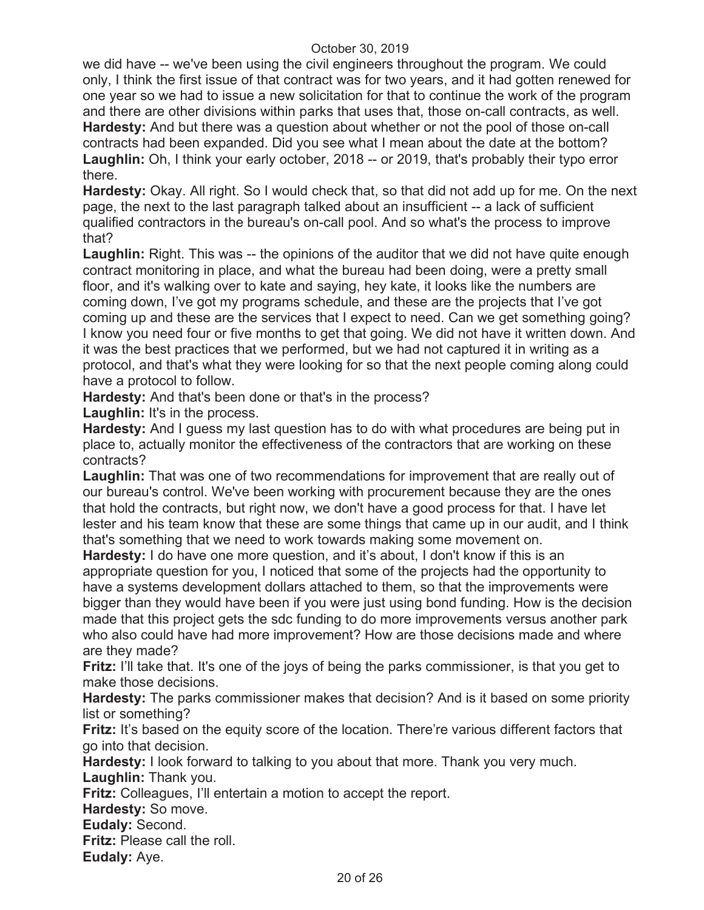we did have -- we've been using the civil engineers throughout the program. We could only, I think the first issue of that contract was for two years, and it had gotten renewed for one year so we had to issue a new solicitation for that to continue the work of the program and there are other divisions within parks that uses that, those on-call contracts, as well. **Hardesty:** And but there was a question about whether or not the pool of those on-call contracts had been expanded. Did you see what I mean about the date at the bottom? **Laughlin:** Oh, I think your early october, 2018 -- or 2019, that's probably their typo error there.

**Hardesty:** Okay. All right. So I would check that, so that did not add up for me. On the next page, the next to the last paragraph talked about an insufficient -- a lack of sufficient qualified contractors in the bureau's on-call pool. And so what's the process to improve that?

**Laughlin:** Right. This was -- the opinions of the auditor that we did not have quite enough contract monitoring in place, and what the bureau had been doing, were a pretty small floor, and it's walking over to kate and saying, hey kate, it looks like the numbers are coming down, I've got my programs schedule, and these are the projects that I've got coming up and these are the services that I expect to need. Can we get something going? I know you need four or five months to get that going. We did not have it written down. And it was the best practices that we performed, but we had not captured it in writing as a protocol, and that's what they were looking for so that the next people coming along could have a protocol to follow.

**Hardesty:** And that's been done or that's in the process?

**Laughlin:** It's in the process.

**Hardesty:** And I guess my last question has to do with what procedures are being put in place to, actually monitor the effectiveness of the contractors that are working on these contracts?

**Laughlin:** That was one of two recommendations for improvement that are really out of our bureau's control. We've been working with procurement because they are the ones that hold the contracts, but right now, we don't have a good process for that. I have let lester and his team know that these are some things that came up in our audit, and I think that's something that we need to work towards making some movement on.

**Hardesty:** I do have one more question, and it's about, I don't know if this is an appropriate question for you, I noticed that some of the projects had the opportunity to have a systems development dollars attached to them, so that the improvements were bigger than they would have been if you were just using bond funding. How is the decision made that this project gets the sdc funding to do more improvements versus another park who also could have had more improvement? How are those decisions made and where are they made?

**Fritz:** I'll take that. It's one of the joys of being the parks commissioner, is that you get to make those decisions.

**Hardesty:** The parks commissioner makes that decision? And is it based on some priority list or something?

**Fritz:** It's based on the equity score of the location. There're various different factors that go into that decision.

**Hardesty:** I look forward to talking to you about that more. Thank you very much.

**Laughlin:** Thank you.

**Fritz:** Colleagues, I'll entertain a motion to accept the report.

**Hardesty:** So move.

**Eudaly:** Second.

**Fritz:** Please call the roll.

**Eudaly:** Aye.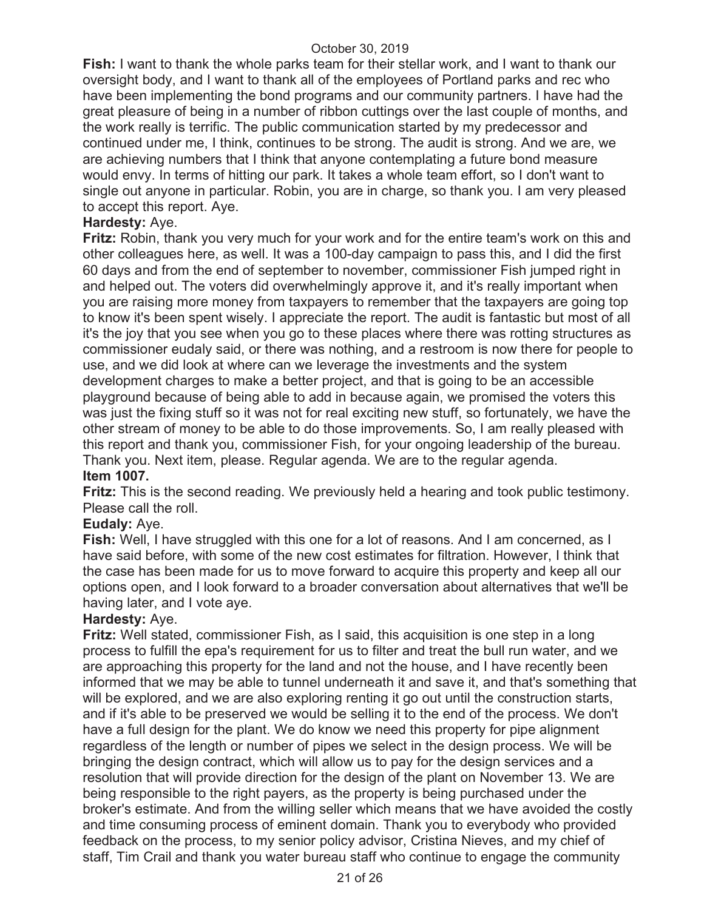**Fish:** I want to thank the whole parks team for their stellar work, and I want to thank our oversight body, and I want to thank all of the employees of Portland parks and rec who have been implementing the bond programs and our community partners. I have had the great pleasure of being in a number of ribbon cuttings over the last couple of months, and the work really is terrific. The public communication started by my predecessor and continued under me, I think, continues to be strong. The audit is strong. And we are, we are achieving numbers that I think that anyone contemplating a future bond measure would envy. In terms of hitting our park. It takes a whole team effort, so I don't want to single out anyone in particular. Robin, you are in charge, so thank you. I am very pleased to accept this report. Aye.

## **Hardesty:** Aye.

**Fritz:** Robin, thank you very much for your work and for the entire team's work on this and other colleagues here, as well. It was a 100-day campaign to pass this, and I did the first 60 days and from the end of september to november, commissioner Fish jumped right in and helped out. The voters did overwhelmingly approve it, and it's really important when you are raising more money from taxpayers to remember that the taxpayers are going top to know it's been spent wisely. I appreciate the report. The audit is fantastic but most of all it's the joy that you see when you go to these places where there was rotting structures as commissioner eudaly said, or there was nothing, and a restroom is now there for people to use, and we did look at where can we leverage the investments and the system development charges to make a better project, and that is going to be an accessible playground because of being able to add in because again, we promised the voters this was just the fixing stuff so it was not for real exciting new stuff, so fortunately, we have the other stream of money to be able to do those improvements. So, I am really pleased with this report and thank you, commissioner Fish, for your ongoing leadership of the bureau. Thank you. Next item, please. Regular agenda. We are to the regular agenda. **Item 1007.** 

**Fritz:** This is the second reading. We previously held a hearing and took public testimony. Please call the roll.

## **Eudaly:** Aye.

**Fish:** Well, I have struggled with this one for a lot of reasons. And I am concerned, as I have said before, with some of the new cost estimates for filtration. However, I think that the case has been made for us to move forward to acquire this property and keep all our options open, and I look forward to a broader conversation about alternatives that we'll be having later, and I vote aye.

## **Hardesty:** Aye.

**Fritz:** Well stated, commissioner Fish, as I said, this acquisition is one step in a long process to fulfill the epa's requirement for us to filter and treat the bull run water, and we are approaching this property for the land and not the house, and I have recently been informed that we may be able to tunnel underneath it and save it, and that's something that will be explored, and we are also exploring renting it go out until the construction starts, and if it's able to be preserved we would be selling it to the end of the process. We don't have a full design for the plant. We do know we need this property for pipe alignment regardless of the length or number of pipes we select in the design process. We will be bringing the design contract, which will allow us to pay for the design services and a resolution that will provide direction for the design of the plant on November 13. We are being responsible to the right payers, as the property is being purchased under the broker's estimate. And from the willing seller which means that we have avoided the costly and time consuming process of eminent domain. Thank you to everybody who provided feedback on the process, to my senior policy advisor, Cristina Nieves, and my chief of staff, Tim Crail and thank you water bureau staff who continue to engage the community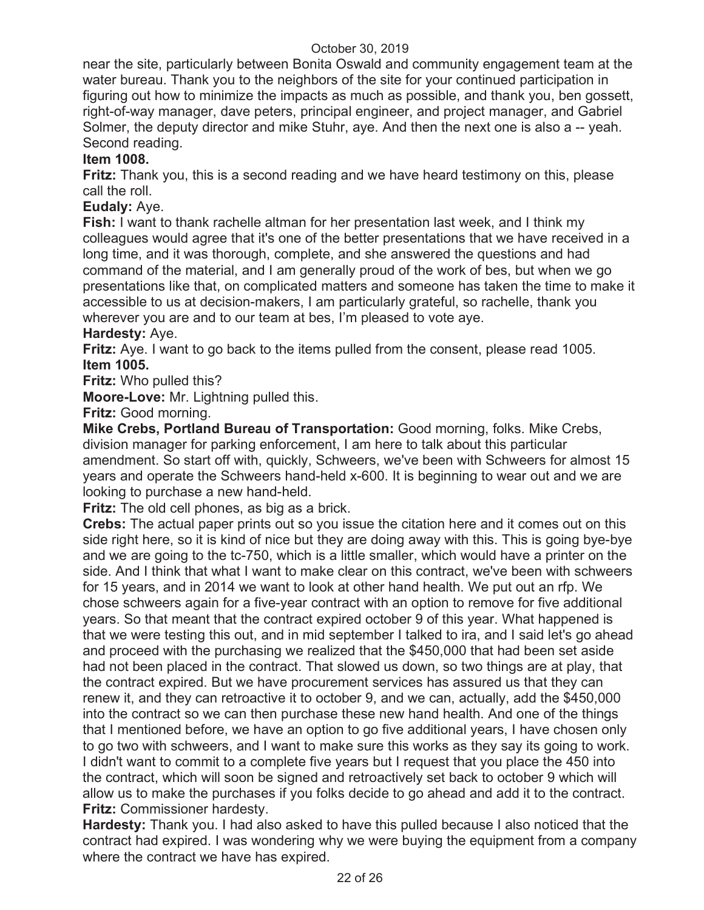near the site, particularly between Bonita Oswald and community engagement team at the water bureau. Thank you to the neighbors of the site for your continued participation in figuring out how to minimize the impacts as much as possible, and thank you, ben gossett, right-of-way manager, dave peters, principal engineer, and project manager, and Gabriel Solmer, the deputy director and mike Stuhr, aye. And then the next one is also a -- yeah. Second reading.

#### **Item 1008.**

**Fritz:** Thank you, this is a second reading and we have heard testimony on this, please call the roll.

#### **Eudaly:** Aye.

**Fish:** I want to thank rachelle altman for her presentation last week, and I think my colleagues would agree that it's one of the better presentations that we have received in a long time, and it was thorough, complete, and she answered the questions and had command of the material, and I am generally proud of the work of bes, but when we go presentations like that, on complicated matters and someone has taken the time to make it accessible to us at decision-makers, I am particularly grateful, so rachelle, thank you wherever you are and to our team at bes, I'm pleased to vote aye.

#### **Hardesty:** Aye.

**Fritz:** Aye. I want to go back to the items pulled from the consent, please read 1005. **Item 1005.**

**Fritz:** Who pulled this?

**Moore-Love:** Mr. Lightning pulled this.

**Fritz:** Good morning.

**Mike Crebs, Portland Bureau of Transportation:** Good morning, folks. Mike Crebs, division manager for parking enforcement, I am here to talk about this particular amendment. So start off with, quickly, Schweers, we've been with Schweers for almost 15 years and operate the Schweers hand-held x-600. It is beginning to wear out and we are looking to purchase a new hand-held.

**Fritz:** The old cell phones, as big as a brick.

**Crebs:** The actual paper prints out so you issue the citation here and it comes out on this side right here, so it is kind of nice but they are doing away with this. This is going bye-bye and we are going to the tc-750, which is a little smaller, which would have a printer on the side. And I think that what I want to make clear on this contract, we've been with schweers for 15 years, and in 2014 we want to look at other hand health. We put out an rfp. We chose schweers again for a five-year contract with an option to remove for five additional years. So that meant that the contract expired october 9 of this year. What happened is that we were testing this out, and in mid september I talked to ira, and I said let's go ahead and proceed with the purchasing we realized that the \$450,000 that had been set aside had not been placed in the contract. That slowed us down, so two things are at play, that the contract expired. But we have procurement services has assured us that they can renew it, and they can retroactive it to october 9, and we can, actually, add the \$450,000 into the contract so we can then purchase these new hand health. And one of the things that I mentioned before, we have an option to go five additional years, I have chosen only to go two with schweers, and I want to make sure this works as they say its going to work. I didn't want to commit to a complete five years but I request that you place the 450 into the contract, which will soon be signed and retroactively set back to october 9 which will allow us to make the purchases if you folks decide to go ahead and add it to the contract. **Fritz:** Commissioner hardesty.

**Hardesty:** Thank you. I had also asked to have this pulled because I also noticed that the contract had expired. I was wondering why we were buying the equipment from a company where the contract we have has expired.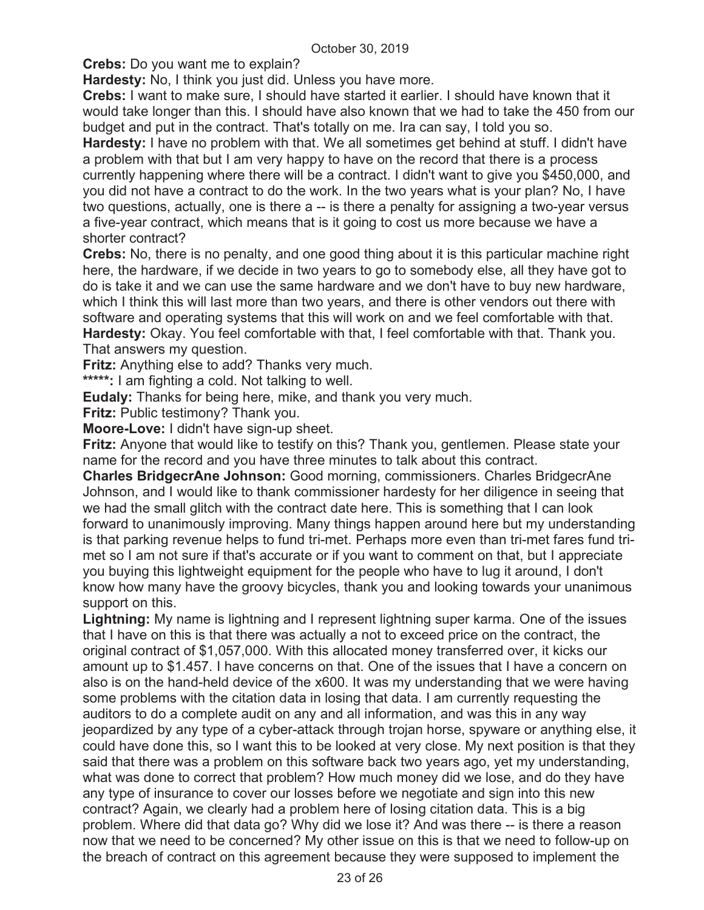**Crebs:** Do you want me to explain?

**Hardesty:** No, I think you just did. Unless you have more.

**Crebs:** I want to make sure, I should have started it earlier. I should have known that it would take longer than this. I should have also known that we had to take the 450 from our budget and put in the contract. That's totally on me. Ira can say, I told you so.

**Hardesty:** I have no problem with that. We all sometimes get behind at stuff. I didn't have a problem with that but I am very happy to have on the record that there is a process currently happening where there will be a contract. I didn't want to give you \$450,000, and you did not have a contract to do the work. In the two years what is your plan? No, I have two questions, actually, one is there a -- is there a penalty for assigning a two-year versus a five-year contract, which means that is it going to cost us more because we have a shorter contract?

**Crebs:** No, there is no penalty, and one good thing about it is this particular machine right here, the hardware, if we decide in two years to go to somebody else, all they have got to do is take it and we can use the same hardware and we don't have to buy new hardware, which I think this will last more than two years, and there is other vendors out there with software and operating systems that this will work on and we feel comfortable with that. **Hardesty:** Okay. You feel comfortable with that, I feel comfortable with that. Thank you. That answers my question.

**Fritz:** Anything else to add? Thanks very much.

**\*\*\*\*\*:** I am fighting a cold. Not talking to well.

**Eudaly:** Thanks for being here, mike, and thank you very much.

**Fritz:** Public testimony? Thank you.

**Moore-Love:** I didn't have sign-up sheet.

**Fritz:** Anyone that would like to testify on this? Thank you, gentlemen. Please state your name for the record and you have three minutes to talk about this contract.

**Charles BridgecrAne Johnson:** Good morning, commissioners. Charles BridgecrAne Johnson, and I would like to thank commissioner hardesty for her diligence in seeing that we had the small glitch with the contract date here. This is something that I can look forward to unanimously improving. Many things happen around here but my understanding is that parking revenue helps to fund tri-met. Perhaps more even than tri-met fares fund trimet so I am not sure if that's accurate or if you want to comment on that, but I appreciate you buying this lightweight equipment for the people who have to lug it around, I don't know how many have the groovy bicycles, thank you and looking towards your unanimous support on this.

**Lightning:** My name is lightning and I represent lightning super karma. One of the issues that I have on this is that there was actually a not to exceed price on the contract, the original contract of \$1,057,000. With this allocated money transferred over, it kicks our amount up to \$1.457. I have concerns on that. One of the issues that I have a concern on also is on the hand-held device of the x600. It was my understanding that we were having some problems with the citation data in losing that data. I am currently requesting the auditors to do a complete audit on any and all information, and was this in any way jeopardized by any type of a cyber-attack through trojan horse, spyware or anything else, it could have done this, so I want this to be looked at very close. My next position is that they said that there was a problem on this software back two years ago, yet my understanding, what was done to correct that problem? How much money did we lose, and do they have any type of insurance to cover our losses before we negotiate and sign into this new contract? Again, we clearly had a problem here of losing citation data. This is a big problem. Where did that data go? Why did we lose it? And was there -- is there a reason now that we need to be concerned? My other issue on this is that we need to follow-up on the breach of contract on this agreement because they were supposed to implement the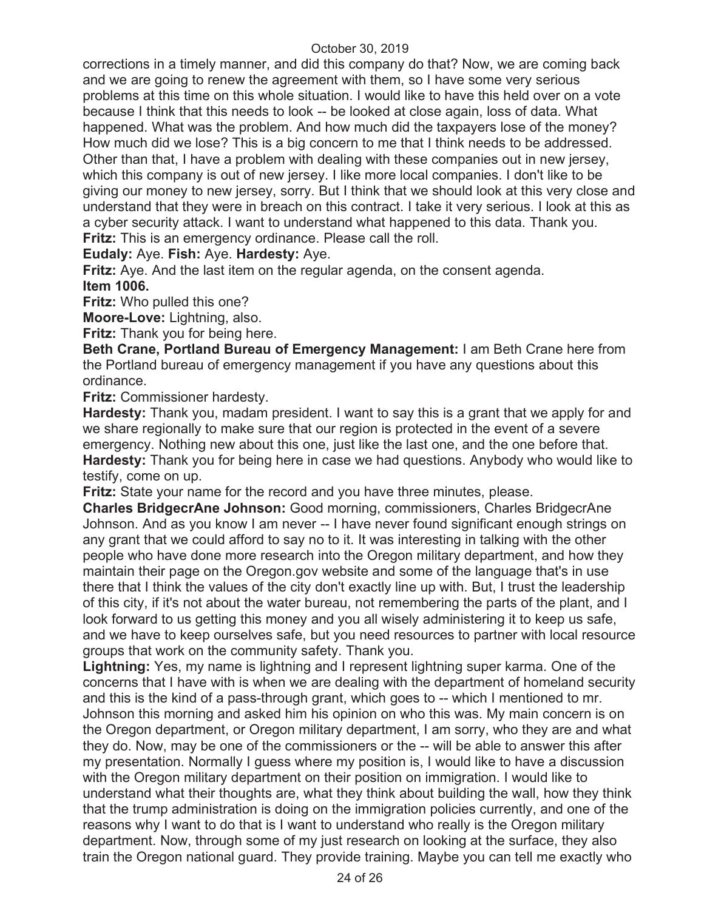corrections in a timely manner, and did this company do that? Now, we are coming back and we are going to renew the agreement with them, so I have some very serious problems at this time on this whole situation. I would like to have this held over on a vote because I think that this needs to look -- be looked at close again, loss of data. What happened. What was the problem. And how much did the taxpayers lose of the money? How much did we lose? This is a big concern to me that I think needs to be addressed. Other than that, I have a problem with dealing with these companies out in new jersey, which this company is out of new jersey. I like more local companies. I don't like to be giving our money to new jersey, sorry. But I think that we should look at this very close and understand that they were in breach on this contract. I take it very serious. I look at this as a cyber security attack. I want to understand what happened to this data. Thank you. **Fritz:** This is an emergency ordinance. Please call the roll.

## **Eudaly:** Aye. **Fish:** Aye. **Hardesty:** Aye.

**Fritz:** Aye. And the last item on the regular agenda, on the consent agenda. **Item 1006.** 

**Fritz:** Who pulled this one?

**Moore-Love:** Lightning, also.

**Fritz:** Thank you for being here.

**Beth Crane, Portland Bureau of Emergency Management:** I am Beth Crane here from the Portland bureau of emergency management if you have any questions about this ordinance.

**Fritz:** Commissioner hardesty.

**Hardesty:** Thank you, madam president. I want to say this is a grant that we apply for and we share regionally to make sure that our region is protected in the event of a severe emergency. Nothing new about this one, just like the last one, and the one before that. **Hardesty:** Thank you for being here in case we had questions. Anybody who would like to testify, come on up.

**Fritz:** State your name for the record and you have three minutes, please.

**Charles BridgecrAne Johnson:** Good morning, commissioners, Charles BridgecrAne Johnson. And as you know I am never -- I have never found significant enough strings on any grant that we could afford to say no to it. It was interesting in talking with the other people who have done more research into the Oregon military department, and how they maintain their page on the Oregon.gov website and some of the language that's in use there that I think the values of the city don't exactly line up with. But, I trust the leadership of this city, if it's not about the water bureau, not remembering the parts of the plant, and I look forward to us getting this money and you all wisely administering it to keep us safe, and we have to keep ourselves safe, but you need resources to partner with local resource groups that work on the community safety. Thank you.

**Lightning:** Yes, my name is lightning and I represent lightning super karma. One of the concerns that I have with is when we are dealing with the department of homeland security and this is the kind of a pass-through grant, which goes to -- which I mentioned to mr. Johnson this morning and asked him his opinion on who this was. My main concern is on the Oregon department, or Oregon military department, I am sorry, who they are and what they do. Now, may be one of the commissioners or the -- will be able to answer this after my presentation. Normally I guess where my position is, I would like to have a discussion with the Oregon military department on their position on immigration. I would like to understand what their thoughts are, what they think about building the wall, how they think that the trump administration is doing on the immigration policies currently, and one of the reasons why I want to do that is I want to understand who really is the Oregon military department. Now, through some of my just research on looking at the surface, they also train the Oregon national guard. They provide training. Maybe you can tell me exactly who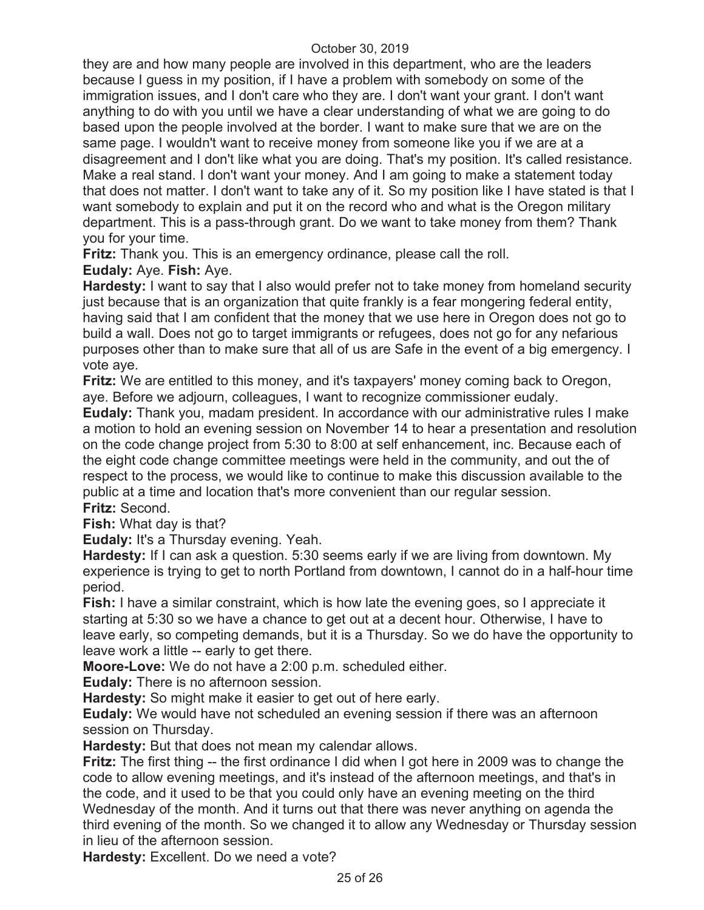they are and how many people are involved in this department, who are the leaders because I guess in my position, if I have a problem with somebody on some of the immigration issues, and I don't care who they are. I don't want your grant. I don't want anything to do with you until we have a clear understanding of what we are going to do based upon the people involved at the border. I want to make sure that we are on the same page. I wouldn't want to receive money from someone like you if we are at a disagreement and I don't like what you are doing. That's my position. It's called resistance. Make a real stand. I don't want your money. And I am going to make a statement today that does not matter. I don't want to take any of it. So my position like I have stated is that I want somebody to explain and put it on the record who and what is the Oregon military department. This is a pass-through grant. Do we want to take money from them? Thank you for your time.

**Fritz:** Thank you. This is an emergency ordinance, please call the roll.

**Eudaly:** Aye. **Fish:** Aye.

**Hardesty:** I want to say that I also would prefer not to take money from homeland security just because that is an organization that quite frankly is a fear mongering federal entity, having said that I am confident that the money that we use here in Oregon does not go to build a wall. Does not go to target immigrants or refugees, does not go for any nefarious purposes other than to make sure that all of us are Safe in the event of a big emergency. I vote aye.

**Fritz:** We are entitled to this money, and it's taxpayers' money coming back to Oregon, aye. Before we adjourn, colleagues, I want to recognize commissioner eudaly.

**Eudaly:** Thank you, madam president. In accordance with our administrative rules I make a motion to hold an evening session on November 14 to hear a presentation and resolution on the code change project from 5:30 to 8:00 at self enhancement, inc. Because each of the eight code change committee meetings were held in the community, and out the of respect to the process, we would like to continue to make this discussion available to the public at a time and location that's more convenient than our regular session. **Fritz:** Second.

**Fish:** What day is that?

**Eudaly:** It's a Thursday evening. Yeah.

**Hardesty:** If I can ask a question. 5:30 seems early if we are living from downtown. My experience is trying to get to north Portland from downtown, I cannot do in a half-hour time period.

**Fish:** I have a similar constraint, which is how late the evening goes, so I appreciate it starting at 5:30 so we have a chance to get out at a decent hour. Otherwise, I have to leave early, so competing demands, but it is a Thursday. So we do have the opportunity to leave work a little -- early to get there.

**Moore-Love:** We do not have a 2:00 p.m. scheduled either.

**Eudaly:** There is no afternoon session.

**Hardesty:** So might make it easier to get out of here early.

**Eudaly:** We would have not scheduled an evening session if there was an afternoon session on Thursday.

**Hardesty:** But that does not mean my calendar allows.

**Fritz:** The first thing -- the first ordinance I did when I got here in 2009 was to change the code to allow evening meetings, and it's instead of the afternoon meetings, and that's in the code, and it used to be that you could only have an evening meeting on the third Wednesday of the month. And it turns out that there was never anything on agenda the third evening of the month. So we changed it to allow any Wednesday or Thursday session in lieu of the afternoon session.

**Hardesty:** Excellent. Do we need a vote?